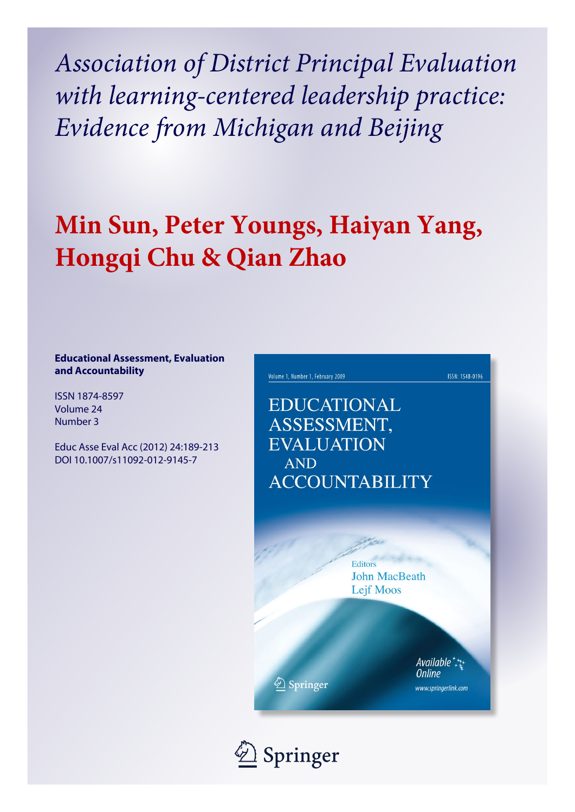*Association of District Principal Evaluation with learning-centered leadership practice: Evidence from Michigan and Beijing*

# **Min Sun, Peter Youngs, Haiyan Yang, Hongqi Chu & Qian Zhao**

# **Educational Assessment, Evaluation and Accountability**

ISSN 1874-8597 Volume 24 Number 3

Educ Asse Eval Acc (2012) 24:189-213 DOI 10.1007/s11092-012-9145-7



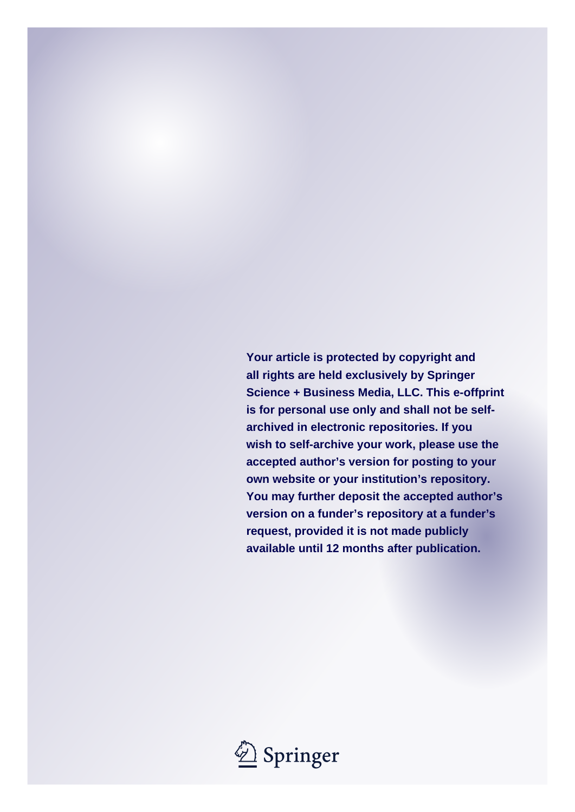**Your article is protected by copyright and all rights are held exclusively by Springer Science + Business Media, LLC. This e-offprint is for personal use only and shall not be selfarchived in electronic repositories. If you wish to self-archive your work, please use the accepted author's version for posting to your own website or your institution's repository. You may further deposit the accepted author's version on a funder's repository at a funder's request, provided it is not made publicly available until 12 months after publication.**

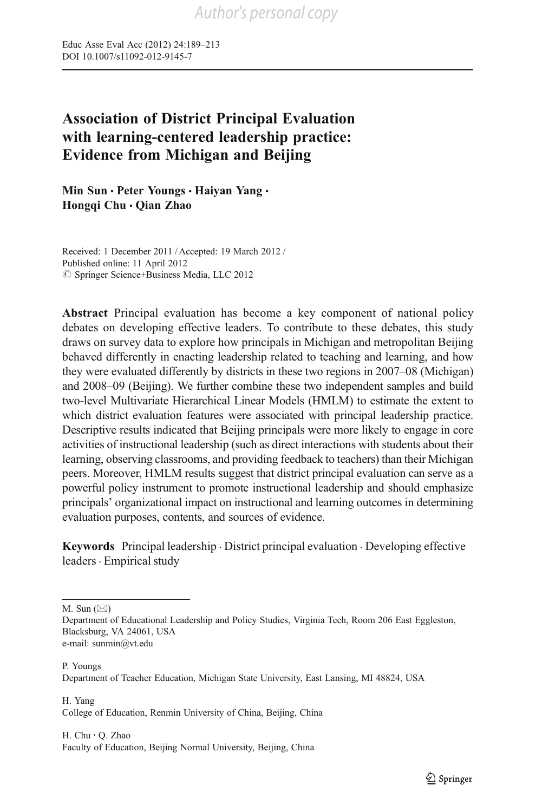# Association of District Principal Evaluation with learning-centered leadership practice: Evidence from Michigan and Beijing

Min Sun · Peter Youngs · Haiyan Yang · Hongqi Chu · Qian Zhao

Received: 1 December 2011 / Accepted: 19 March 2012 / Published online: 11 April 2012  $\oslash$  Springer Science+Business Media, LLC 2012

Abstract Principal evaluation has become a key component of national policy debates on developing effective leaders. To contribute to these debates, this study draws on survey data to explore how principals in Michigan and metropolitan Beijing behaved differently in enacting leadership related to teaching and learning, and how they were evaluated differently by districts in these two regions in 2007–08 (Michigan) and 2008–09 (Beijing). We further combine these two independent samples and build two-level Multivariate Hierarchical Linear Models (HMLM) to estimate the extent to which district evaluation features were associated with principal leadership practice. Descriptive results indicated that Beijing principals were more likely to engage in core activities of instructional leadership (such as direct interactions with students about their learning, observing classrooms, and providing feedback to teachers) than their Michigan peers. Moreover, HMLM results suggest that district principal evaluation can serve as a powerful policy instrument to promote instructional leadership and should emphasize principals' organizational impact on instructional and learning outcomes in determining evaluation purposes, contents, and sources of evidence.

Keywords Principal leadership . District principal evaluation . Developing effective leaders · Empirical study

M. Sun  $(\boxtimes)$ 

P. Youngs Department of Teacher Education, Michigan State University, East Lansing, MI 48824, USA

H. Yang College of Education, Renmin University of China, Beijing, China

H. Chu : Q. Zhao Faculty of Education, Beijing Normal University, Beijing, China

Department of Educational Leadership and Policy Studies, Virginia Tech, Room 206 East Eggleston, Blacksburg, VA 24061, USA e-mail: sunmin@vt.edu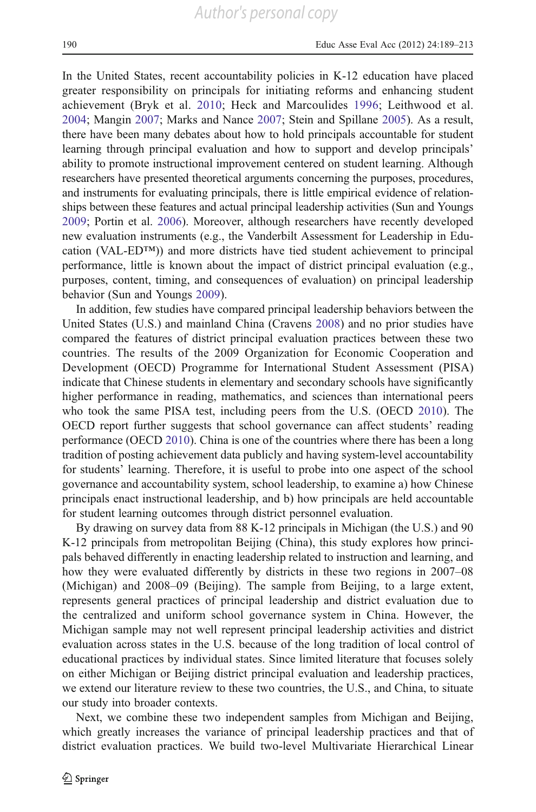In the United States, recent accountability policies in K-12 education have placed greater responsibility on principals for initiating reforms and enhancing student achievement (Bryk et al. [2010](#page-24-0); Heck and Marcoulides [1996;](#page-25-0) Leithwood et al. [2004;](#page-25-0) Mangin [2007;](#page-25-0) Marks and Nance [2007](#page-25-0); Stein and Spillane [2005](#page-26-0)). As a result, there have been many debates about how to hold principals accountable for student learning through principal evaluation and how to support and develop principals' ability to promote instructional improvement centered on student learning. Although researchers have presented theoretical arguments concerning the purposes, procedures, and instruments for evaluating principals, there is little empirical evidence of relationships between these features and actual principal leadership activities (Sun and Youngs [2009;](#page-26-0) Portin et al. [2006](#page-26-0)). Moreover, although researchers have recently developed new evaluation instruments (e.g., the Vanderbilt Assessment for Leadership in Education (VAL-ED™)) and more districts have tied student achievement to principal performance, little is known about the impact of district principal evaluation (e.g., purposes, content, timing, and consequences of evaluation) on principal leadership behavior (Sun and Youngs [2009\)](#page-26-0).

In addition, few studies have compared principal leadership behaviors between the United States (U.S.) and mainland China (Cravens [2008](#page-24-0)) and no prior studies have compared the features of district principal evaluation practices between these two countries. The results of the 2009 Organization for Economic Cooperation and Development (OECD) Programme for International Student Assessment (PISA) indicate that Chinese students in elementary and secondary schools have significantly higher performance in reading, mathematics, and sciences than international peers who took the same PISA test, including peers from the U.S. (OECD [2010](#page-26-0)). The OECD report further suggests that school governance can affect students' reading performance (OECD [2010\)](#page-26-0). China is one of the countries where there has been a long tradition of posting achievement data publicly and having system-level accountability for students' learning. Therefore, it is useful to probe into one aspect of the school governance and accountability system, school leadership, to examine a) how Chinese principals enact instructional leadership, and b) how principals are held accountable for student learning outcomes through district personnel evaluation.

By drawing on survey data from 88 K-12 principals in Michigan (the U.S.) and 90 K-12 principals from metropolitan Beijing (China), this study explores how principals behaved differently in enacting leadership related to instruction and learning, and how they were evaluated differently by districts in these two regions in 2007–08 (Michigan) and 2008–09 (Beijing). The sample from Beijing, to a large extent, represents general practices of principal leadership and district evaluation due to the centralized and uniform school governance system in China. However, the Michigan sample may not well represent principal leadership activities and district evaluation across states in the U.S. because of the long tradition of local control of educational practices by individual states. Since limited literature that focuses solely on either Michigan or Beijing district principal evaluation and leadership practices, we extend our literature review to these two countries, the U.S., and China, to situate our study into broader contexts.

Next, we combine these two independent samples from Michigan and Beijing, which greatly increases the variance of principal leadership practices and that of district evaluation practices. We build two-level Multivariate Hierarchical Linear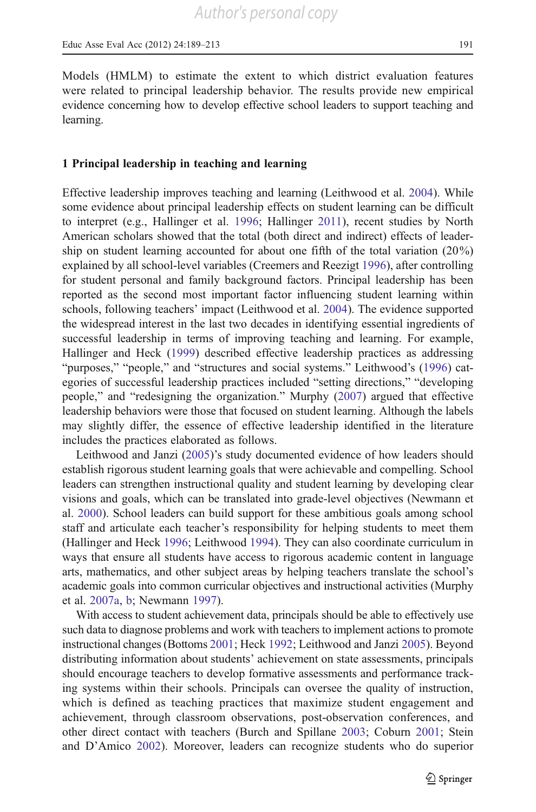Models (HMLM) to estimate the extent to which district evaluation features were related to principal leadership behavior. The results provide new empirical evidence concerning how to develop effective school leaders to support teaching and learning.

#### 1 Principal leadership in teaching and learning

Effective leadership improves teaching and learning (Leithwood et al. [2004](#page-25-0)). While some evidence about principal leadership effects on student learning can be difficult to interpret (e.g., Hallinger et al. [1996](#page-25-0); Hallinger [2011\)](#page-25-0), recent studies by North American scholars showed that the total (both direct and indirect) effects of leadership on student learning accounted for about one fifth of the total variation (20%) explained by all school-level variables (Creemers and Reezigt [1996\)](#page-24-0), after controlling for student personal and family background factors. Principal leadership has been reported as the second most important factor influencing student learning within schools, following teachers' impact (Leithwood et al. [2004](#page-25-0)). The evidence supported the widespread interest in the last two decades in identifying essential ingredients of successful leadership in terms of improving teaching and learning. For example, Hallinger and Heck [\(1999](#page-25-0)) described effective leadership practices as addressing "purposes," "people," and "structures and social systems." Leithwood's [\(1996](#page-25-0)) categories of successful leadership practices included "setting directions," "developing people," and "redesigning the organization." Murphy [\(2007](#page-25-0)) argued that effective leadership behaviors were those that focused on student learning. Although the labels may slightly differ, the essence of effective leadership identified in the literature includes the practices elaborated as follows.

Leithwood and Janzi [\(2005](#page-25-0))'s study documented evidence of how leaders should establish rigorous student learning goals that were achievable and compelling. School leaders can strengthen instructional quality and student learning by developing clear visions and goals, which can be translated into grade-level objectives (Newmann et al. [2000\)](#page-26-0). School leaders can build support for these ambitious goals among school staff and articulate each teacher's responsibility for helping students to meet them (Hallinger and Heck [1996](#page-25-0); Leithwood [1994\)](#page-25-0). They can also coordinate curriculum in ways that ensure all students have access to rigorous academic content in language arts, mathematics, and other subject areas by helping teachers translate the school's academic goals into common curricular objectives and instructional activities (Murphy et al. [2007a,](#page-25-0) [b](#page-26-0); Newmann [1997\)](#page-26-0).

With access to student achievement data, principals should be able to effectively use such data to diagnose problems and work with teachers to implement actions to promote instructional changes (Bottoms [2001](#page-24-0); Heck [1992](#page-25-0); Leithwood and Janzi [2005](#page-25-0)). Beyond distributing information about students' achievement on state assessments, principals should encourage teachers to develop formative assessments and performance tracking systems within their schools. Principals can oversee the quality of instruction, which is defined as teaching practices that maximize student engagement and achievement, through classroom observations, post-observation conferences, and other direct contact with teachers (Burch and Spillane [2003](#page-24-0); Coburn [2001](#page-24-0); Stein and D'Amico [2002](#page-26-0)). Moreover, leaders can recognize students who do superior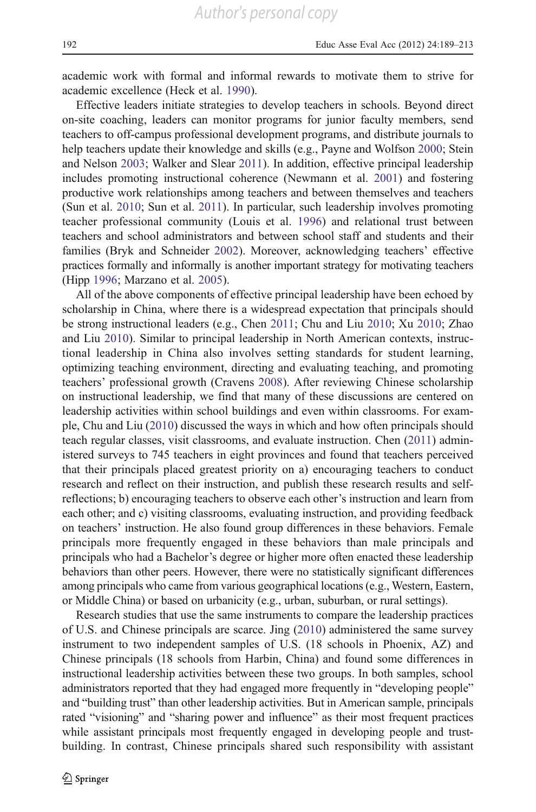academic work with formal and informal rewards to motivate them to strive for academic excellence (Heck et al. [1990\)](#page-25-0).

Effective leaders initiate strategies to develop teachers in schools. Beyond direct on-site coaching, leaders can monitor programs for junior faculty members, send teachers to off-campus professional development programs, and distribute journals to help teachers update their knowledge and skills (e.g., Payne and Wolfson [2000;](#page-26-0) Stein and Nelson [2003](#page-26-0); Walker and Slear [2011\)](#page-26-0). In addition, effective principal leadership includes promoting instructional coherence (Newmann et al. [2001\)](#page-26-0) and fostering productive work relationships among teachers and between themselves and teachers (Sun et al. [2010;](#page-26-0) Sun et al. [2011](#page-26-0)). In particular, such leadership involves promoting teacher professional community (Louis et al. [1996](#page-25-0)) and relational trust between teachers and school administrators and between school staff and students and their families (Bryk and Schneider [2002\)](#page-24-0). Moreover, acknowledging teachers' effective practices formally and informally is another important strategy for motivating teachers (Hipp [1996](#page-25-0); Marzano et al. [2005\)](#page-25-0).

All of the above components of effective principal leadership have been echoed by scholarship in China, where there is a widespread expectation that principals should be strong instructional leaders (e.g., Chen [2011;](#page-24-0) Chu and Liu [2010](#page-24-0); Xu [2010](#page-26-0); Zhao and Liu [2010\)](#page-26-0). Similar to principal leadership in North American contexts, instructional leadership in China also involves setting standards for student learning, optimizing teaching environment, directing and evaluating teaching, and promoting teachers' professional growth (Cravens [2008\)](#page-24-0). After reviewing Chinese scholarship on instructional leadership, we find that many of these discussions are centered on leadership activities within school buildings and even within classrooms. For example, Chu and Liu ([2010\)](#page-24-0) discussed the ways in which and how often principals should teach regular classes, visit classrooms, and evaluate instruction. Chen ([2011](#page-24-0)) administered surveys to 745 teachers in eight provinces and found that teachers perceived that their principals placed greatest priority on a) encouraging teachers to conduct research and reflect on their instruction, and publish these research results and selfreflections; b) encouraging teachers to observe each other's instruction and learn from each other; and c) visiting classrooms, evaluating instruction, and providing feedback on teachers' instruction. He also found group differences in these behaviors. Female principals more frequently engaged in these behaviors than male principals and principals who had a Bachelor's degree or higher more often enacted these leadership behaviors than other peers. However, there were no statistically significant differences among principals who came from various geographical locations (e.g., Western, Eastern, or Middle China) or based on urbanicity (e.g., urban, suburban, or rural settings).

Research studies that use the same instruments to compare the leadership practices of U.S. and Chinese principals are scarce. Jing ([2010\)](#page-25-0) administered the same survey instrument to two independent samples of U.S. (18 schools in Phoenix, AZ) and Chinese principals (18 schools from Harbin, China) and found some differences in instructional leadership activities between these two groups. In both samples, school administrators reported that they had engaged more frequently in "developing people" and "building trust" than other leadership activities. But in American sample, principals rated "visioning" and "sharing power and influence" as their most frequent practices while assistant principals most frequently engaged in developing people and trustbuilding. In contrast, Chinese principals shared such responsibility with assistant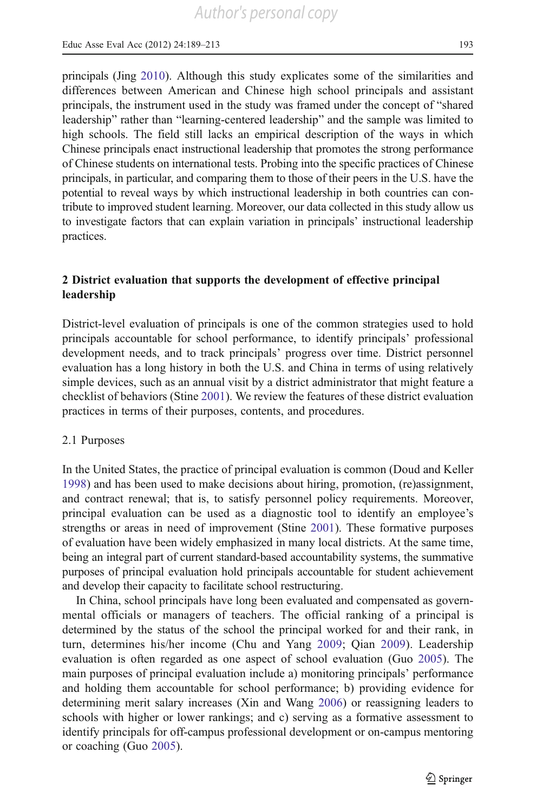principals (Jing [2010](#page-25-0)). Although this study explicates some of the similarities and differences between American and Chinese high school principals and assistant principals, the instrument used in the study was framed under the concept of "shared leadership" rather than "learning-centered leadership" and the sample was limited to high schools. The field still lacks an empirical description of the ways in which Chinese principals enact instructional leadership that promotes the strong performance of Chinese students on international tests. Probing into the specific practices of Chinese principals, in particular, and comparing them to those of their peers in the U.S. have the potential to reveal ways by which instructional leadership in both countries can contribute to improved student learning. Moreover, our data collected in this study allow us to investigate factors that can explain variation in principals' instructional leadership practices.

# 2 District evaluation that supports the development of effective principal leadership

District-level evaluation of principals is one of the common strategies used to hold principals accountable for school performance, to identify principals' professional development needs, and to track principals' progress over time. District personnel evaluation has a long history in both the U.S. and China in terms of using relatively simple devices, such as an annual visit by a district administrator that might feature a checklist of behaviors (Stine [2001](#page-26-0)). We review the features of these district evaluation practices in terms of their purposes, contents, and procedures.

# 2.1 Purposes

In the United States, the practice of principal evaluation is common (Doud and Keller [1998\)](#page-24-0) and has been used to make decisions about hiring, promotion, (re)assignment, and contract renewal; that is, to satisfy personnel policy requirements. Moreover, principal evaluation can be used as a diagnostic tool to identify an employee's strengths or areas in need of improvement (Stine [2001\)](#page-26-0). These formative purposes of evaluation have been widely emphasized in many local districts. At the same time, being an integral part of current standard-based accountability systems, the summative purposes of principal evaluation hold principals accountable for student achievement and develop their capacity to facilitate school restructuring.

In China, school principals have long been evaluated and compensated as governmental officials or managers of teachers. The official ranking of a principal is determined by the status of the school the principal worked for and their rank, in turn, determines his/her income (Chu and Yang [2009;](#page-24-0) Qian [2009\)](#page-26-0). Leadership evaluation is often regarded as one aspect of school evaluation (Guo [2005](#page-25-0)). The main purposes of principal evaluation include a) monitoring principals' performance and holding them accountable for school performance; b) providing evidence for determining merit salary increases (Xin and Wang [2006](#page-26-0)) or reassigning leaders to schools with higher or lower rankings; and c) serving as a formative assessment to identify principals for off-campus professional development or on-campus mentoring or coaching (Guo [2005](#page-25-0)).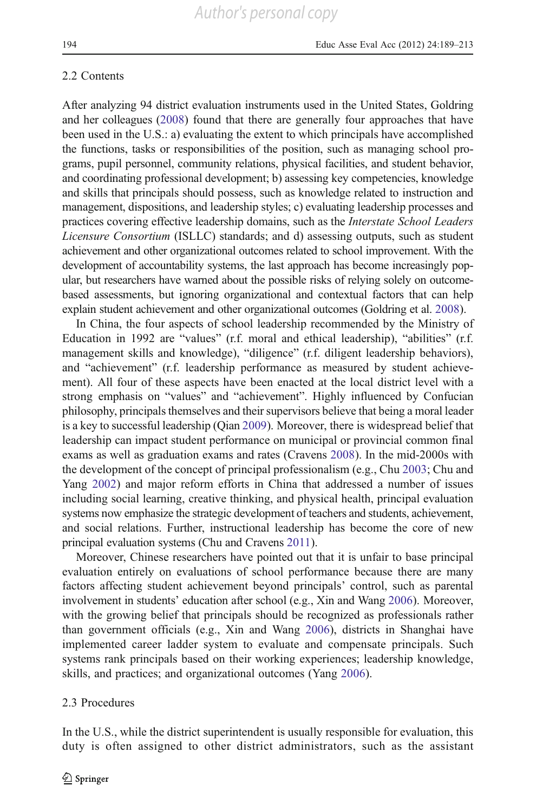#### 2.2 Contents

After analyzing 94 district evaluation instruments used in the United States, Goldring and her colleagues [\(2008](#page-25-0)) found that there are generally four approaches that have been used in the U.S.: a) evaluating the extent to which principals have accomplished the functions, tasks or responsibilities of the position, such as managing school programs, pupil personnel, community relations, physical facilities, and student behavior, and coordinating professional development; b) assessing key competencies, knowledge and skills that principals should possess, such as knowledge related to instruction and management, dispositions, and leadership styles; c) evaluating leadership processes and practices covering effective leadership domains, such as the Interstate School Leaders Licensure Consortium (ISLLC) standards; and d) assessing outputs, such as student achievement and other organizational outcomes related to school improvement. With the development of accountability systems, the last approach has become increasingly popular, but researchers have warned about the possible risks of relying solely on outcomebased assessments, but ignoring organizational and contextual factors that can help explain student achievement and other organizational outcomes (Goldring et al. [2008](#page-25-0)).

In China, the four aspects of school leadership recommended by the Ministry of Education in 1992 are "values" (r.f. moral and ethical leadership), "abilities" (r.f. management skills and knowledge), "diligence" (r.f. diligent leadership behaviors), and "achievement" (r.f. leadership performance as measured by student achievement). All four of these aspects have been enacted at the local district level with a strong emphasis on "values" and "achievement". Highly influenced by Confucian philosophy, principals themselves and their supervisors believe that being a moral leader is a key to successful leadership (Qian [2009\)](#page-26-0). Moreover, there is widespread belief that leadership can impact student performance on municipal or provincial common final exams as well as graduation exams and rates (Cravens [2008](#page-24-0)). In the mid-2000s with the development of the concept of principal professionalism (e.g., Chu [2003](#page-24-0); Chu and Yang [2002\)](#page-24-0) and major reform efforts in China that addressed a number of issues including social learning, creative thinking, and physical health, principal evaluation systems now emphasize the strategic development of teachers and students, achievement, and social relations. Further, instructional leadership has become the core of new principal evaluation systems (Chu and Cravens [2011](#page-24-0)).

Moreover, Chinese researchers have pointed out that it is unfair to base principal evaluation entirely on evaluations of school performance because there are many factors affecting student achievement beyond principals' control, such as parental involvement in students' education after school (e.g., Xin and Wang [2006\)](#page-26-0). Moreover, with the growing belief that principals should be recognized as professionals rather than government officials (e.g., Xin and Wang [2006\)](#page-26-0), districts in Shanghai have implemented career ladder system to evaluate and compensate principals. Such systems rank principals based on their working experiences; leadership knowledge, skills, and practices; and organizational outcomes (Yang [2006\)](#page-26-0).

#### 2.3 Procedures

In the U.S., while the district superintendent is usually responsible for evaluation, this duty is often assigned to other district administrators, such as the assistant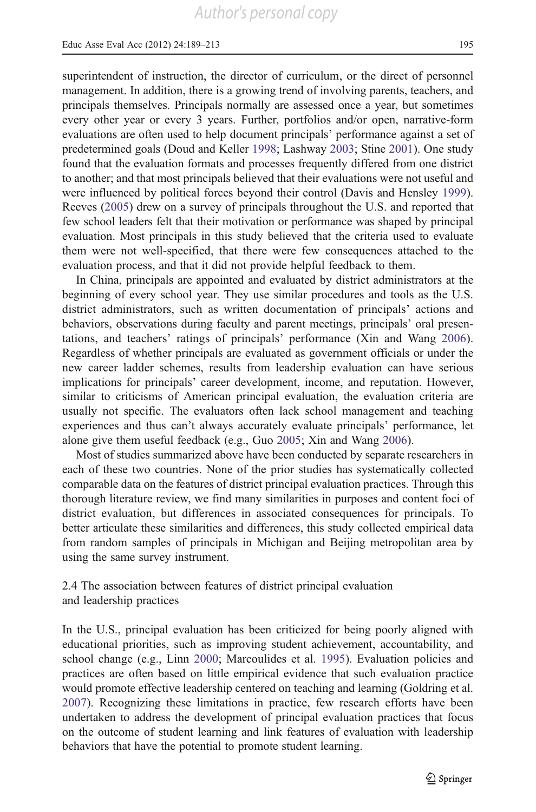superintendent of instruction, the director of curriculum, or the direct of personnel management. In addition, there is a growing trend of involving parents, teachers, and principals themselves. Principals normally are assessed once a year, but sometimes every other year or every 3 years. Further, portfolios and/or open, narrative-form evaluations are often used to help document principals' performance against a set of predetermined goals (Doud and Keller [1998;](#page-24-0) Lashway [2003;](#page-25-0) Stine [2001](#page-26-0)). One study found that the evaluation formats and processes frequently differed from one district to another; and that most principals believed that their evaluations were not useful and were influenced by political forces beyond their control (Davis and Hensley [1999\)](#page-24-0). Reeves ([2005\)](#page-26-0) drew on a survey of principals throughout the U.S. and reported that few school leaders felt that their motivation or performance was shaped by principal evaluation. Most principals in this study believed that the criteria used to evaluate them were not well-specified, that there were few consequences attached to the evaluation process, and that it did not provide helpful feedback to them.

In China, principals are appointed and evaluated by district administrators at the beginning of every school year. They use similar procedures and tools as the U.S. district administrators, such as written documentation of principals' actions and behaviors, observations during faculty and parent meetings, principals' oral presentations, and teachers' ratings of principals' performance (Xin and Wang [2006\)](#page-26-0). Regardless of whether principals are evaluated as government officials or under the new career ladder schemes, results from leadership evaluation can have serious implications for principals' career development, income, and reputation. However, similar to criticisms of American principal evaluation, the evaluation criteria are usually not specific. The evaluators often lack school management and teaching experiences and thus can't always accurately evaluate principals' performance, let alone give them useful feedback (e.g., Guo [2005](#page-25-0); Xin and Wang [2006\)](#page-26-0).

Most of studies summarized above have been conducted by separate researchers in each of these two countries. None of the prior studies has systematically collected comparable data on the features of district principal evaluation practices. Through this thorough literature review, we find many similarities in purposes and content foci of district evaluation, but differences in associated consequences for principals. To better articulate these similarities and differences, this study collected empirical data from random samples of principals in Michigan and Beijing metropolitan area by using the same survey instrument.

# 2.4 The association between features of district principal evaluation and leadership practices

In the U.S., principal evaluation has been criticized for being poorly aligned with educational priorities, such as improving student achievement, accountability, and school change (e.g., Linn [2000](#page-25-0); Marcoulides et al. [1995](#page-25-0)). Evaluation policies and practices are often based on little empirical evidence that such evaluation practice would promote effective leadership centered on teaching and learning (Goldring et al. [2007](#page-24-0)). Recognizing these limitations in practice, few research efforts have been undertaken to address the development of principal evaluation practices that focus on the outcome of student learning and link features of evaluation with leadership behaviors that have the potential to promote student learning.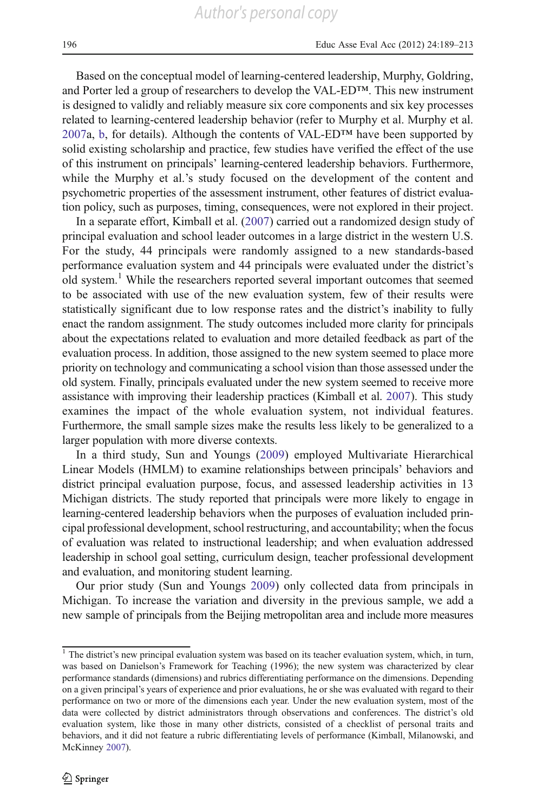Based on the conceptual model of learning-centered leadership, Murphy, Goldring, and Porter led a group of researchers to develop the VAL-ED™. This new instrument is designed to validly and reliably measure six core components and six key processes related to learning-centered leadership behavior (refer to Murphy et al. Murphy et al. [2007a](#page-25-0), [b,](#page-26-0) for details). Although the contents of VAL-ED<sup>TM</sup> have been supported by solid existing scholarship and practice, few studies have verified the effect of the use of this instrument on principals' learning-centered leadership behaviors. Furthermore, while the Murphy et al.'s study focused on the development of the content and psychometric properties of the assessment instrument, other features of district evaluation policy, such as purposes, timing, consequences, were not explored in their project.

In a separate effort, Kimball et al. [\(2007\)](#page-25-0) carried out a randomized design study of principal evaluation and school leader outcomes in a large district in the western U.S. For the study, 44 principals were randomly assigned to a new standards-based performance evaluation system and 44 principals were evaluated under the district's old system.<sup>1</sup> While the researchers reported several important outcomes that seemed to be associated with use of the new evaluation system, few of their results were statistically significant due to low response rates and the district's inability to fully enact the random assignment. The study outcomes included more clarity for principals about the expectations related to evaluation and more detailed feedback as part of the evaluation process. In addition, those assigned to the new system seemed to place more priority on technology and communicating a school vision than those assessed under the old system. Finally, principals evaluated under the new system seemed to receive more assistance with improving their leadership practices (Kimball et al. [2007\)](#page-25-0). This study examines the impact of the whole evaluation system, not individual features. Furthermore, the small sample sizes make the results less likely to be generalized to a larger population with more diverse contexts.

In a third study, Sun and Youngs [\(2009](#page-26-0)) employed Multivariate Hierarchical Linear Models (HMLM) to examine relationships between principals' behaviors and district principal evaluation purpose, focus, and assessed leadership activities in 13 Michigan districts. The study reported that principals were more likely to engage in learning-centered leadership behaviors when the purposes of evaluation included principal professional development, school restructuring, and accountability; when the focus of evaluation was related to instructional leadership; and when evaluation addressed leadership in school goal setting, curriculum design, teacher professional development and evaluation, and monitoring student learning.

Our prior study (Sun and Youngs [2009\)](#page-26-0) only collected data from principals in Michigan. To increase the variation and diversity in the previous sample, we add a new sample of principals from the Beijing metropolitan area and include more measures

<sup>&</sup>lt;sup>1</sup> The district's new principal evaluation system was based on its teacher evaluation system, which, in turn, was based on Danielson's Framework for Teaching (1996); the new system was characterized by clear performance standards (dimensions) and rubrics differentiating performance on the dimensions. Depending on a given principal's years of experience and prior evaluations, he or she was evaluated with regard to their performance on two or more of the dimensions each year. Under the new evaluation system, most of the data were collected by district administrators through observations and conferences. The district's old evaluation system, like those in many other districts, consisted of a checklist of personal traits and behaviors, and it did not feature a rubric differentiating levels of performance (Kimball, Milanowski, and McKinney [2007](#page-25-0)).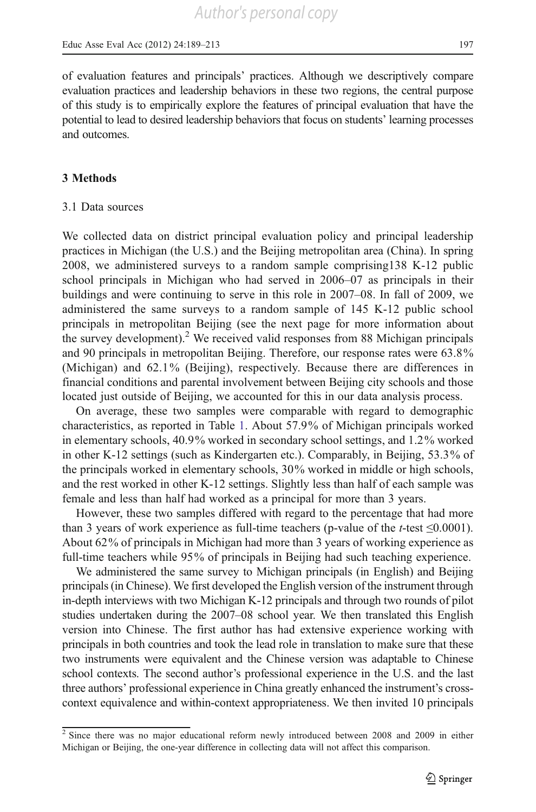of evaluation features and principals' practices. Although we descriptively compare evaluation practices and leadership behaviors in these two regions, the central purpose of this study is to empirically explore the features of principal evaluation that have the potential to lead to desired leadership behaviors that focus on students' learning processes and outcomes.

# 3 Methods

# 3.1 Data sources

We collected data on district principal evaluation policy and principal leadership practices in Michigan (the U.S.) and the Beijing metropolitan area (China). In spring 2008, we administered surveys to a random sample comprising138 K-12 public school principals in Michigan who had served in 2006–07 as principals in their buildings and were continuing to serve in this role in 2007–08. In fall of 2009, we administered the same surveys to a random sample of 145 K-12 public school principals in metropolitan Beijing (see the next page for more information about the survey development).<sup>2</sup> We received valid responses from 88 Michigan principals and 90 principals in metropolitan Beijing. Therefore, our response rates were 63.8% (Michigan) and 62.1% (Beijing), respectively. Because there are differences in financial conditions and parental involvement between Beijing city schools and those located just outside of Beijing, we accounted for this in our data analysis process.

On average, these two samples were comparable with regard to demographic characteristics, as reported in Table [1.](#page-11-0) About 57.9% of Michigan principals worked in elementary schools, 40.9% worked in secondary school settings, and 1.2% worked in other K-12 settings (such as Kindergarten etc.). Comparably, in Beijing, 53.3% of the principals worked in elementary schools, 30% worked in middle or high schools, and the rest worked in other K-12 settings. Slightly less than half of each sample was female and less than half had worked as a principal for more than 3 years.

However, these two samples differed with regard to the percentage that had more than 3 years of work experience as full-time teachers (p-value of the *t*-test  $\leq 0.0001$ ). About 62% of principals in Michigan had more than 3 years of working experience as full-time teachers while 95% of principals in Beijing had such teaching experience.

We administered the same survey to Michigan principals (in English) and Beijing principals (in Chinese). We first developed the English version of the instrument through in-depth interviews with two Michigan K-12 principals and through two rounds of pilot studies undertaken during the 2007–08 school year. We then translated this English version into Chinese. The first author has had extensive experience working with principals in both countries and took the lead role in translation to make sure that these two instruments were equivalent and the Chinese version was adaptable to Chinese school contexts. The second author's professional experience in the U.S. and the last three authors' professional experience in China greatly enhanced the instrument's crosscontext equivalence and within-context appropriateness. We then invited 10 principals

 $2$  Since there was no major educational reform newly introduced between 2008 and 2009 in either Michigan or Beijing, the one-year difference in collecting data will not affect this comparison.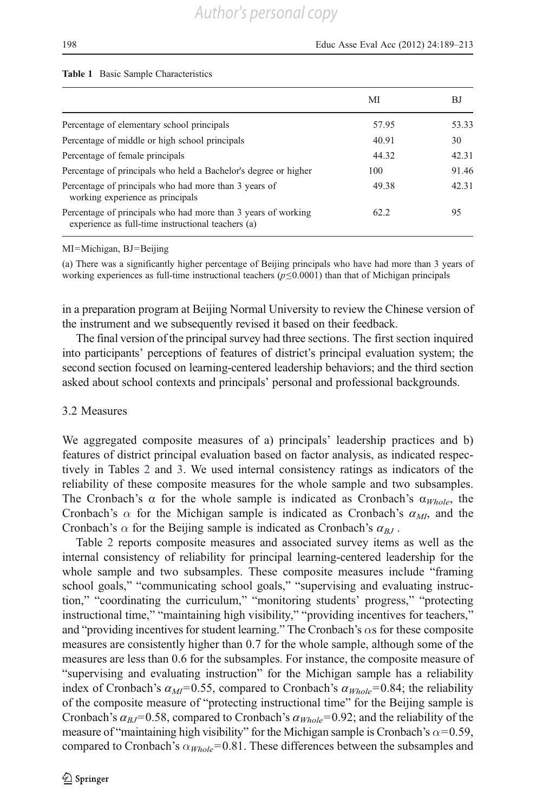#### <span id="page-11-0"></span>Table 1 Basic Sample Characteristics

|                                                                                                                     | МI    | BJ    |
|---------------------------------------------------------------------------------------------------------------------|-------|-------|
| Percentage of elementary school principals                                                                          | 57.95 | 53.33 |
| Percentage of middle or high school principals                                                                      | 40.91 | 30    |
| Percentage of female principals                                                                                     | 44.32 | 42.31 |
| Percentage of principals who held a Bachelor's degree or higher                                                     | 100   | 91.46 |
| Percentage of principals who had more than 3 years of<br>working experience as principals                           | 49.38 | 42.31 |
| Percentage of principals who had more than 3 years of working<br>experience as full-time instructional teachers (a) | 62.2  | 95    |

#### MI=Michigan, BJ=Beijing

(a) There was a significantly higher percentage of Beijing principals who have had more than 3 years of working experiences as full-time instructional teachers ( $p \le 0.0001$ ) than that of Michigan principals

in a preparation program at Beijing Normal University to review the Chinese version of the instrument and we subsequently revised it based on their feedback.

The final version of the principal survey had three sections. The first section inquired into participants' perceptions of features of district's principal evaluation system; the second section focused on learning-centered leadership behaviors; and the third section asked about school contexts and principals' personal and professional backgrounds.

#### 3.2 Measures

We aggregated composite measures of a) principals' leadership practices and b) features of district principal evaluation based on factor analysis, as indicated respectively in Tables [2](#page-12-0) and [3](#page-14-0). We used internal consistency ratings as indicators of the reliability of these composite measures for the whole sample and two subsamples. The Cronbach's  $\alpha$  for the whole sample is indicated as Cronbach's  $\alpha_{Whole}$ , the Cronbach's  $\alpha$  for the Michigan sample is indicated as Cronbach's  $\alpha_{M1}$ , and the Cronbach's  $\alpha$  for the Beijing sample is indicated as Cronbach's  $\alpha_{BI}$ .

Table [2](#page-12-0) reports composite measures and associated survey items as well as the internal consistency of reliability for principal learning-centered leadership for the whole sample and two subsamples. These composite measures include "framing school goals," "communicating school goals," "supervising and evaluating instruction," "coordinating the curriculum," "monitoring students' progress," "protecting instructional time," "maintaining high visibility," "providing incentives for teachers," and "providing incentives for student learning." The Cronbach's  $\alpha$ s for these composite measures are consistently higher than 0.7 for the whole sample, although some of the measures are less than 0.6 for the subsamples. For instance, the composite measure of "supervising and evaluating instruction" for the Michigan sample has a reliability index of Cronbach's  $\alpha_{MI}$ =0.55, compared to Cronbach's  $\alpha_{Whole}$ =0.84; the reliability of the composite measure of "protecting instructional time" for the Beijing sample is Cronbach's  $\alpha_{BJ}$ =0.58, compared to Cronbach's  $\alpha_{Whole}$ =0.92; and the reliability of the measure of "maintaining high visibility" for the Michigan sample is Cronbach's  $\alpha$ =0.59, compared to Cronbach's  $\alpha_{Whole}$ =0.81. These differences between the subsamples and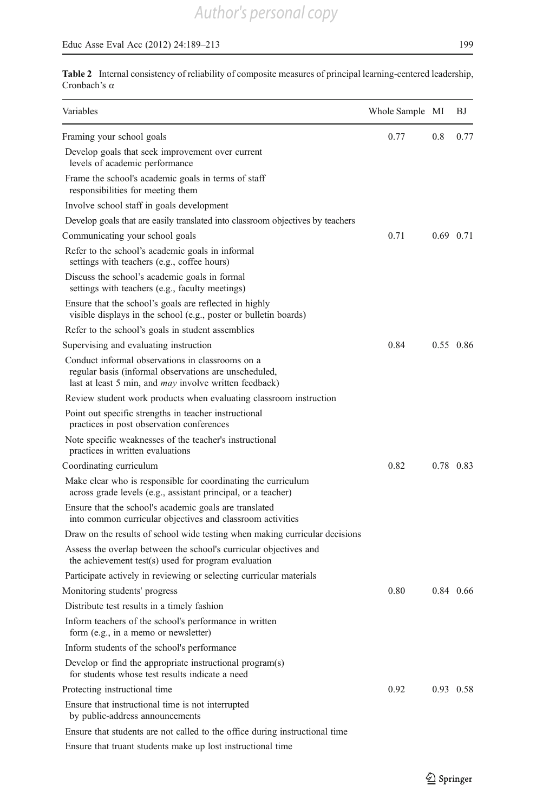# *Author's personal copy*

# <span id="page-12-0"></span>Educ Asse Eval Acc (2012) 24:189–213 199

Table 2 Internal consistency of reliability of composite measures of principal learning-centered leadership, Cronbach's a

| Variables                                                                                                                                                                  | Whole Sample MI |     | BJ        |
|----------------------------------------------------------------------------------------------------------------------------------------------------------------------------|-----------------|-----|-----------|
| Framing your school goals                                                                                                                                                  | 0.77            | 0.8 | 0.77      |
| Develop goals that seek improvement over current<br>levels of academic performance                                                                                         |                 |     |           |
| Frame the school's academic goals in terms of staff<br>responsibilities for meeting them                                                                                   |                 |     |           |
| Involve school staff in goals development                                                                                                                                  |                 |     |           |
| Develop goals that are easily translated into classroom objectives by teachers                                                                                             |                 |     |           |
| Communicating your school goals                                                                                                                                            | 0.71            |     | 0.69 0.71 |
| Refer to the school's academic goals in informal<br>settings with teachers (e.g., coffee hours)                                                                            |                 |     |           |
| Discuss the school's academic goals in formal<br>settings with teachers (e.g., faculty meetings)                                                                           |                 |     |           |
| Ensure that the school's goals are reflected in highly<br>visible displays in the school (e.g., poster or bulletin boards)                                                 |                 |     |           |
| Refer to the school's goals in student assemblies                                                                                                                          |                 |     |           |
| Supervising and evaluating instruction                                                                                                                                     | 0.84            |     | 0.55 0.86 |
| Conduct informal observations in classrooms on a<br>regular basis (informal observations are unscheduled,<br>last at least 5 min, and <i>may</i> involve written feedback) |                 |     |           |
| Review student work products when evaluating classroom instruction                                                                                                         |                 |     |           |
| Point out specific strengths in teacher instructional<br>practices in post observation conferences                                                                         |                 |     |           |
| Note specific weaknesses of the teacher's instructional<br>practices in written evaluations                                                                                |                 |     |           |
| Coordinating curriculum                                                                                                                                                    | 0.82            |     | 0.78 0.83 |
| Make clear who is responsible for coordinating the curriculum<br>across grade levels (e.g., assistant principal, or a teacher)                                             |                 |     |           |
| Ensure that the school's academic goals are translated<br>into common curricular objectives and classroom activities                                                       |                 |     |           |
| Draw on the results of school wide testing when making curricular decisions                                                                                                |                 |     |           |
| Assess the overlap between the school's curricular objectives and<br>the achievement test(s) used for program evaluation                                                   |                 |     |           |
| Participate actively in reviewing or selecting curricular materials                                                                                                        |                 |     |           |
| Monitoring students' progress                                                                                                                                              | 0.80            |     | 0.84 0.66 |
| Distribute test results in a timely fashion                                                                                                                                |                 |     |           |
| Inform teachers of the school's performance in written<br>form (e.g., in a memo or newsletter)                                                                             |                 |     |           |
| Inform students of the school's performance                                                                                                                                |                 |     |           |
| Develop or find the appropriate instructional program(s)<br>for students whose test results indicate a need                                                                |                 |     |           |
| Protecting instructional time                                                                                                                                              | 0.92            |     | 0.93 0.58 |
| Ensure that instructional time is not interrupted<br>by public-address announcements                                                                                       |                 |     |           |
| Ensure that students are not called to the office during instructional time                                                                                                |                 |     |           |
| Ensure that truant students make up lost instructional time                                                                                                                |                 |     |           |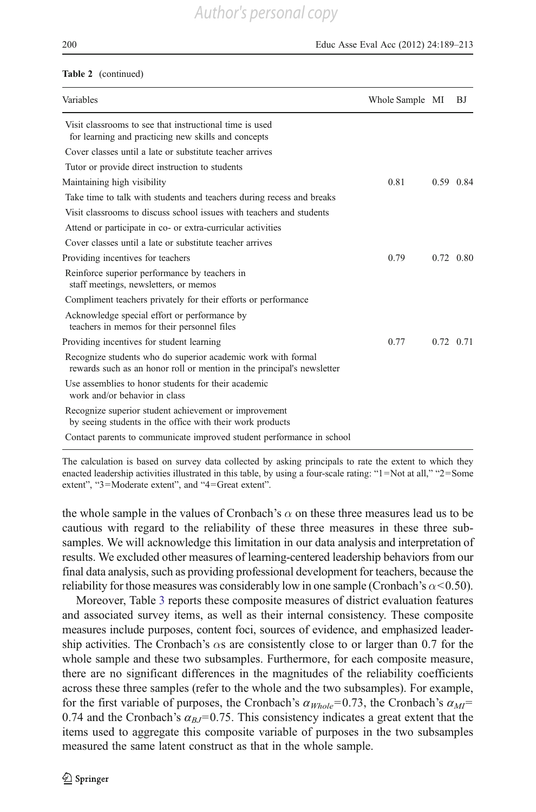#### Table 2 (continued)

| Variables                                                                                                                              | Whole Sample MI |           | B <sub>J</sub> |
|----------------------------------------------------------------------------------------------------------------------------------------|-----------------|-----------|----------------|
| Visit classrooms to see that instructional time is used<br>for learning and practicing new skills and concepts                         |                 |           |                |
| Cover classes until a late or substitute teacher arrives                                                                               |                 |           |                |
| Tutor or provide direct instruction to students                                                                                        |                 |           |                |
| Maintaining high visibility                                                                                                            | 0.81            | 0.59 0.84 |                |
| Take time to talk with students and teachers during recess and breaks                                                                  |                 |           |                |
| Visit classrooms to discuss school issues with teachers and students                                                                   |                 |           |                |
| Attend or participate in co- or extra-curricular activities                                                                            |                 |           |                |
| Cover classes until a late or substitute teacher arrives                                                                               |                 |           |                |
| Providing incentives for teachers                                                                                                      | 0.79            | 0.72 0.80 |                |
| Reinforce superior performance by teachers in<br>staff meetings, newsletters, or memos                                                 |                 |           |                |
| Compliment teachers privately for their efforts or performance                                                                         |                 |           |                |
| Acknowledge special effort or performance by<br>teachers in memos for their personnel files                                            |                 |           |                |
| Providing incentives for student learning                                                                                              | 0.77            | 0.72 0.71 |                |
| Recognize students who do superior academic work with formal<br>rewards such as an honor roll or mention in the principal's newsletter |                 |           |                |
| Use assemblies to honor students for their academic<br>work and/or behavior in class                                                   |                 |           |                |
| Recognize superior student achievement or improvement<br>by seeing students in the office with their work products                     |                 |           |                |
| Contact parents to communicate improved student performance in school                                                                  |                 |           |                |

The calculation is based on survey data collected by asking principals to rate the extent to which they enacted leadership activities illustrated in this table, by using a four-scale rating: " $1 = Not$  at all," " $2 = Some$ extent", "3=Moderate extent", and "4=Great extent".

the whole sample in the values of Cronbach's  $\alpha$  on these three measures lead us to be cautious with regard to the reliability of these three measures in these three subsamples. We will acknowledge this limitation in our data analysis and interpretation of results. We excluded other measures of learning-centered leadership behaviors from our final data analysis, such as providing professional development for teachers, because the reliability for those measures was considerably low in one sample (Cronbach's  $\alpha$ <0.50).

Moreover, Table [3](#page-14-0) reports these composite measures of district evaluation features and associated survey items, as well as their internal consistency. These composite measures include purposes, content foci, sources of evidence, and emphasized leadership activities. The Cronbach's αs are consistently close to or larger than 0.7 for the whole sample and these two subsamples. Furthermore, for each composite measure, there are no significant differences in the magnitudes of the reliability coefficients across these three samples (refer to the whole and the two subsamples). For example, for the first variable of purposes, the Cronbach's  $\alpha_{Whole}$ =0.73, the Cronbach's  $\alpha_{MI}$ = 0.74 and the Cronbach's  $\alpha_{BJ}$ =0.75. This consistency indicates a great extent that the items used to aggregate this composite variable of purposes in the two subsamples measured the same latent construct as that in the whole sample.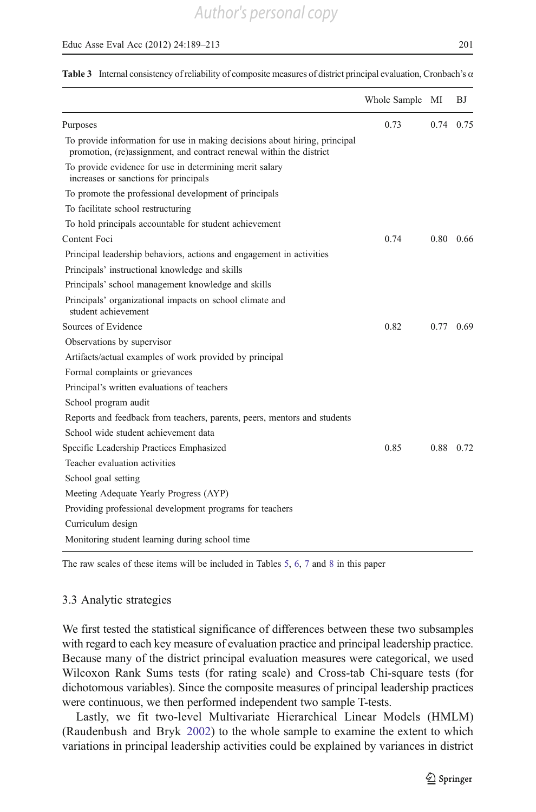# <span id="page-14-0"></span>Educ Asse Eval Acc (2012) 24:189–213 201

|                                                                                                                                                   | Whole Sample | MI   | BJ                |
|---------------------------------------------------------------------------------------------------------------------------------------------------|--------------|------|-------------------|
| Purposes                                                                                                                                          | 0.73         | 0.74 | 0.75              |
| To provide information for use in making decisions about hiring, principal<br>promotion, (re)assignment, and contract renewal within the district |              |      |                   |
| To provide evidence for use in determining merit salary<br>increases or sanctions for principals                                                  |              |      |                   |
| To promote the professional development of principals                                                                                             |              |      |                   |
| To facilitate school restructuring                                                                                                                |              |      |                   |
| To hold principals accountable for student achievement                                                                                            |              |      |                   |
| Content Foci                                                                                                                                      | 0.74         |      | $0.80 \quad 0.66$ |
| Principal leadership behaviors, actions and engagement in activities                                                                              |              |      |                   |
| Principals' instructional knowledge and skills                                                                                                    |              |      |                   |
| Principals' school management knowledge and skills                                                                                                |              |      |                   |
| Principals' organizational impacts on school climate and<br>student achievement                                                                   |              |      |                   |
| Sources of Evidence                                                                                                                               | 0.82         | 0.77 | 0.69              |
| Observations by supervisor                                                                                                                        |              |      |                   |
| Artifacts/actual examples of work provided by principal                                                                                           |              |      |                   |
| Formal complaints or grievances                                                                                                                   |              |      |                   |
| Principal's written evaluations of teachers                                                                                                       |              |      |                   |
| School program audit                                                                                                                              |              |      |                   |
| Reports and feedback from teachers, parents, peers, mentors and students                                                                          |              |      |                   |
| School wide student achievement data                                                                                                              |              |      |                   |
| Specific Leadership Practices Emphasized                                                                                                          | 0.85         | 0.88 | 0.72              |
| Teacher evaluation activities                                                                                                                     |              |      |                   |
| School goal setting                                                                                                                               |              |      |                   |
| Meeting Adequate Yearly Progress (AYP)                                                                                                            |              |      |                   |
| Providing professional development programs for teachers                                                                                          |              |      |                   |
| Curriculum design                                                                                                                                 |              |      |                   |
| Monitoring student learning during school time                                                                                                    |              |      |                   |
|                                                                                                                                                   |              |      |                   |

Table 3 Internal consistency of reliability of composite measures of district principal evaluation, Cronbach's  $\alpha$ 

The raw scales of these items will be included in Tables [5](#page-17-0), [6](#page-18-0), [7](#page-18-0) and [8](#page-19-0) in this paper

# 3.3 Analytic strategies

We first tested the statistical significance of differences between these two subsamples with regard to each key measure of evaluation practice and principal leadership practice. Because many of the district principal evaluation measures were categorical, we used Wilcoxon Rank Sums tests (for rating scale) and Cross-tab Chi-square tests (for dichotomous variables). Since the composite measures of principal leadership practices were continuous, we then performed independent two sample T-tests.

Lastly, we fit two-level Multivariate Hierarchical Linear Models (HMLM) (Raudenbush and Bryk [2002](#page-26-0)) to the whole sample to examine the extent to which variations in principal leadership activities could be explained by variances in district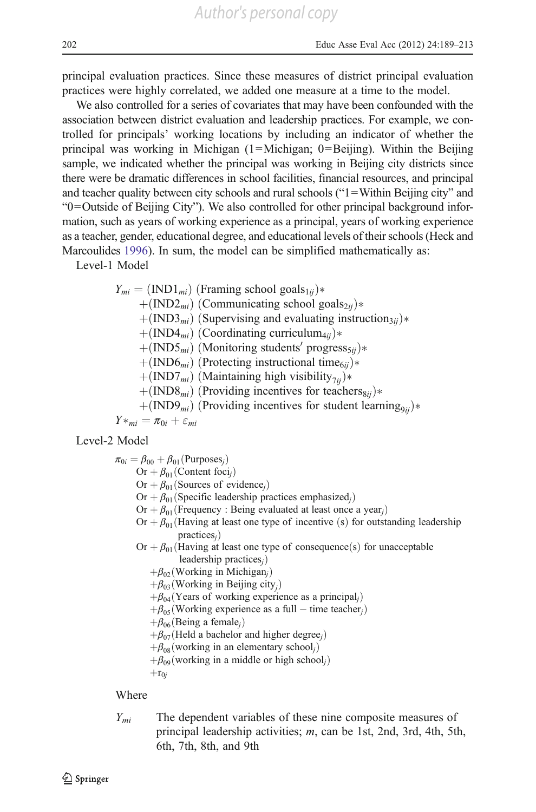principal evaluation practices. Since these measures of district principal evaluation practices were highly correlated, we added one measure at a time to the model.

We also controlled for a series of covariates that may have been confounded with the association between district evaluation and leadership practices. For example, we controlled for principals' working locations by including an indicator of whether the principal was working in Michigan  $(1)$ =Michigan; 0=Beijing). Within the Beijing sample, we indicated whether the principal was working in Beijing city districts since there were be dramatic differences in school facilities, financial resources, and principal and teacher quality between city schools and rural schools  $("1=Within Beijing city"$  and  $"0$ =Outside of Beijing City"). We also controlled for other principal background information, such as years of working experience as a principal, years of working experience as a teacher, gender, educational degree, and educational levels of their schools (Heck and Marcoulides [1996](#page-25-0)). In sum, the model can be simplified mathematically as:

Level-1 Model

 $Y_{mi} = (IND1_{mi})$  (Framing school goals<sub>1ij</sub>)\*  $+(IND2<sub>mi</sub>)$  (Communicating school goals<sub>2ij</sub>)\*  $+(IND3<sub>mi</sub>)$  (Supervising and evaluating instruction<sub>3ij</sub>)\*  $+(IND4<sub>mi</sub>)$  (Coordinating curriculum<sub>4ij</sub>)\*  $+(IND5<sub>mi</sub>)$  (Monitoring students' progress<sub>5ij</sub>)\*  $+(IND6<sub>mi</sub>)$  (Protecting instructional time<sub>6ij</sub>)\*  $+(IND7<sub>mi</sub>)$  (Maintaining high visibility<sub>7ij</sub>)\*  $+(IND8<sub>mi</sub>)$  (Providing incentives for teachers<sub>8ij</sub>)\*  $+(IND9<sub>mi</sub>)$  (Providing incentives for student learning<sub>9ij</sub>)\*  $Y*_{mi} = \pi_{0i} + \varepsilon_{mi}$ 

Level-2 Model

 $\pi_{0i} = \beta_{00} + \beta_{01}$ (Purposes<sub>i</sub>)  $Or + \beta_{01}$ (Content foci<sub>j</sub>)  $Or + \beta_{01}$ (Sources of evidence<sub>i</sub>)  $Or + \beta_{01}$ (Specific leadership practices emphasized<sub>i</sub>)  $Or + \beta_{01}$ (Frequency : Being evaluated at least once a year<sub>i</sub>)  $Or + \beta_{01}$  (Having at least one type of incentive (s) for outstanding leadership  $practices_i)$  $Or + \beta_{01}$ (Having at least one type of consequence(s) for unacceptable leadership practices $_i$  $+\beta_{02}$ (Working in Michigan<sub>i</sub>)  $+\beta_{03}$ (Working in Beijing city<sub>j</sub>)  $+\beta_{04}$ (Years of working experience as a principal<sub>i</sub>)  $+\beta_{05}$ (Working experience as a full – time teacher<sub>i</sub>) + $\beta_{06}$ (Being a female<sub>i</sub>)  $+\beta_{07}$ (Held a bachelor and higher degree<sub>i</sub>)  $+\beta_{08}$ (working in an elementary school<sub>i</sub>)  $+\beta_{09}$ (working in a middle or high school<sub>i</sub>)  $+r_{0j}$ 

# Where

 $Y_{mi}$  The dependent variables of these nine composite measures of principal leadership activities; m, can be 1st, 2nd, 3rd, 4th, 5th, 6th, 7th, 8th, and 9th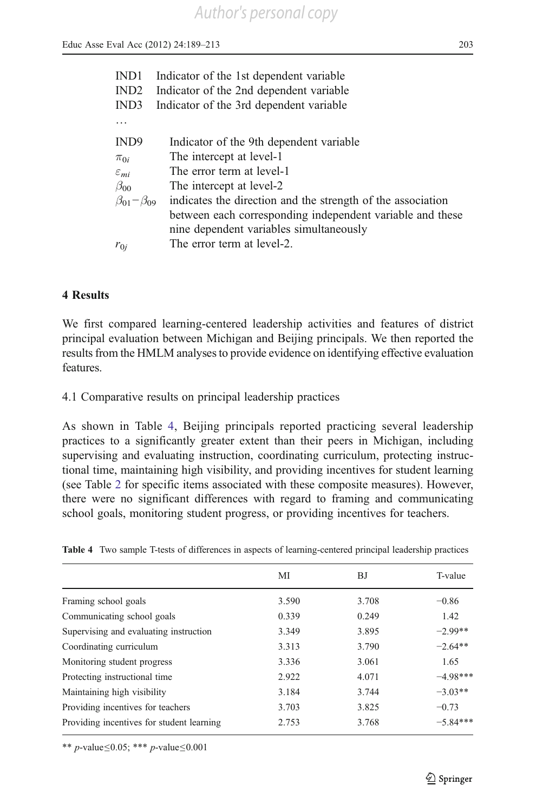| IND1                      | Indicator of the 1st dependent variable                     |
|---------------------------|-------------------------------------------------------------|
| IND2                      | Indicator of the 2nd dependent variable                     |
| IND3                      | Indicator of the 3rd dependent variable                     |
|                           |                                                             |
| IND9                      | Indicator of the 9th dependent variable                     |
| $\pi_{0i}$                | The intercept at level-1                                    |
| $\varepsilon_{mi}$        | The error term at level-1                                   |
| $\beta_{00}$              | The intercept at level-2                                    |
| $\beta_{01} - \beta_{09}$ | indicates the direction and the strength of the association |
|                           | between each corresponding independent variable and these   |
|                           | nine dependent variables simultaneously                     |
| $r_{0i}$                  | The error term at level-2.                                  |
|                           |                                                             |

# 4 Results

We first compared learning-centered leadership activities and features of district principal evaluation between Michigan and Beijing principals. We then reported the results from the HMLM analyses to provide evidence on identifying effective evaluation features.

4.1 Comparative results on principal leadership practices

As shown in Table 4, Beijing principals reported practicing several leadership practices to a significantly greater extent than their peers in Michigan, including supervising and evaluating instruction, coordinating curriculum, protecting instructional time, maintaining high visibility, and providing incentives for student learning (see Table [2](#page-12-0) for specific items associated with these composite measures). However, there were no significant differences with regard to framing and communicating school goals, monitoring student progress, or providing incentives for teachers.

|                                           | MI    | BJ.   | T-value    |
|-------------------------------------------|-------|-------|------------|
| Framing school goals                      | 3.590 | 3.708 | $-0.86$    |
| Communicating school goals                | 0.339 | 0.249 | 1.42       |
| Supervising and evaluating instruction    | 3.349 | 3.895 | $-2.99**$  |
| Coordinating curriculum                   | 3.313 | 3.790 | $-2.64**$  |
| Monitoring student progress               | 3.336 | 3.061 | 1.65       |
| Protecting instructional time             | 2.922 | 4.071 | $-4.98***$ |
| Maintaining high visibility               | 3.184 | 3.744 | $-3.03**$  |
| Providing incentives for teachers         | 3.703 | 3.825 | $-0.73$    |
| Providing incentives for student learning | 2.753 | 3.768 | $-5.84***$ |

Table 4 Two sample T-tests of differences in aspects of learning-centered principal leadership practices

\*\* p-value≤0.05; \*\*\* p-value≤0.001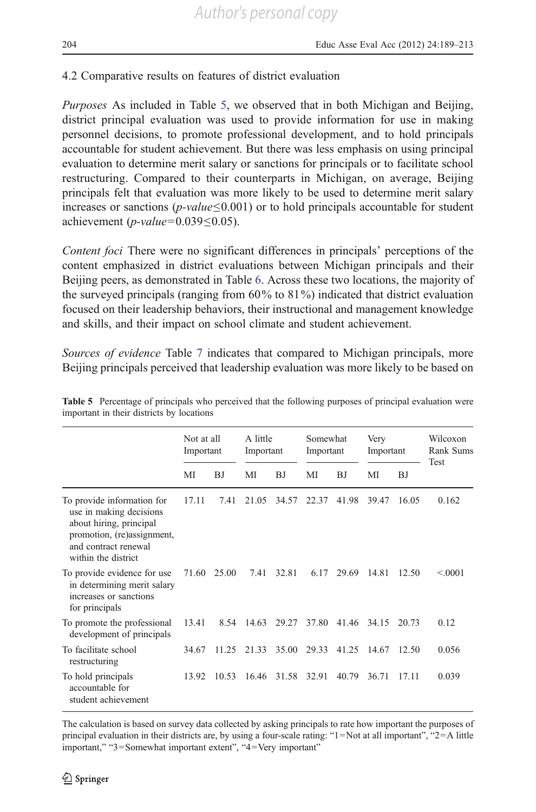# <span id="page-17-0"></span>4.2 Comparative results on features of district evaluation

Purposes As included in Table 5, we observed that in both Michigan and Beijing, district principal evaluation was used to provide information for use in making personnel decisions, to promote professional development, and to hold principals accountable for student achievement. But there was less emphasis on using principal evaluation to determine merit salary or sanctions for principals or to facilitate school restructuring. Compared to their counterparts in Michigan, on average, Beijing principals felt that evaluation was more likely to be used to determine merit salary increases or sanctions ( $p$ -value  $\leq 0.001$ ) or to hold principals accountable for student achievement ( $p$ -value=0.039≤0.05).

Content foci There were no significant differences in principals' perceptions of the content emphasized in district evaluations between Michigan principals and their Beijing peers, as demonstrated in Table [6](#page-18-0). Across these two locations, the majority of the surveyed principals (ranging from 60% to 81%) indicated that district evaluation focused on their leadership behaviors, their instructional and management knowledge and skills, and their impact on school climate and student achievement.

Sources of evidence Table [7](#page-18-0) indicates that compared to Michigan principals, more Beijing principals perceived that leadership evaluation was more likely to be based on

|                                                                                                                                                               | Not at all<br>Important |       | A little<br>Important |       | Somewhat<br>Important |       | Very<br>Important |       | Wilcoxon<br>Rank Sums<br>Test |  |
|---------------------------------------------------------------------------------------------------------------------------------------------------------------|-------------------------|-------|-----------------------|-------|-----------------------|-------|-------------------|-------|-------------------------------|--|
|                                                                                                                                                               | МI                      | BJ    | MI                    | BJ    | MI                    | BJ    | МI                | BJ    |                               |  |
| To provide information for<br>use in making decisions<br>about hiring, principal<br>promotion, (re)assignment,<br>and contract renewal<br>within the district | 17.11                   | 7.41  | 21.05                 | 34.57 | 22.37                 | 41.98 | 39.47             | 16.05 | 0.162                         |  |
| To provide evidence for use.<br>in determining merit salary<br>increases or sanctions<br>for principals                                                       | 71.60                   | 25.00 | 7.41                  | 32.81 | 6.17                  | 29.69 | 14 81             | 12.50 | < 0.001                       |  |
| To promote the professional<br>development of principals                                                                                                      | 13.41                   | 8.54  | 14.63                 | 29.27 | 37.80                 | 41.46 | 34.15             | 20.73 | 0.12                          |  |
| To facilitate school<br>restructuring                                                                                                                         | 34.67                   | 11.25 | 21.33                 | 35.00 | 29.33                 | 41.25 | 14.67             | 12.50 | 0.056                         |  |
| To hold principals<br>accountable for<br>student achievement                                                                                                  | 13.92                   | 10.53 | 16.46                 | 31.58 | 32.91                 | 40.79 | 36.71             | 17 11 | 0.039                         |  |

Table 5 Percentage of principals who perceived that the following purposes of principal evaluation were important in their districts by locations

The calculation is based on survey data collected by asking principals to rate how important the purposes of principal evaluation in their districts are, by using a four-scale rating: " $1 = Not$  at all important", " $2 = A$  little important," "3=Somewhat important extent", "4=Very important"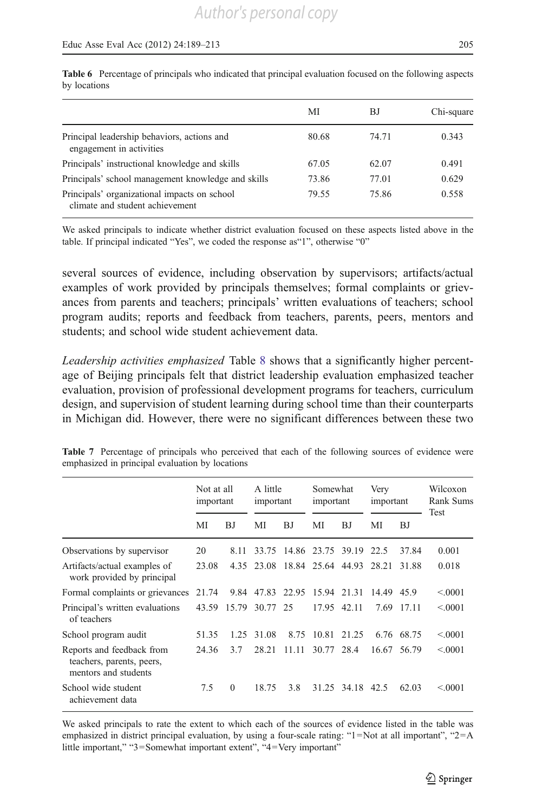# <span id="page-18-0"></span>Educ Asse Eval Acc (2012) 24:189–213 205

|                                                                                 | МI    | BJ    | Chi-square |
|---------------------------------------------------------------------------------|-------|-------|------------|
| Principal leadership behaviors, actions and<br>engagement in activities         | 80.68 | 74.71 | 0.343      |
| Principals' instructional knowledge and skills                                  | 67.05 | 62.07 | 0.491      |
| Principals' school management knowledge and skills                              | 73.86 | 77.01 | 0.629      |
| Principals' organizational impacts on school<br>climate and student achievement | 79.55 | 75.86 | 0.558      |
|                                                                                 |       |       |            |

Table 6 Percentage of principals who indicated that principal evaluation focused on the following aspects by locations

We asked principals to indicate whether district evaluation focused on these aspects listed above in the table. If principal indicated "Yes", we coded the response as"1", otherwise "0"

several sources of evidence, including observation by supervisors; artifacts/actual examples of work provided by principals themselves; formal complaints or grievances from parents and teachers; principals' written evaluations of teachers; school program audits; reports and feedback from teachers, parents, peers, mentors and students; and school wide student achievement data.

Leadership activities emphasized Table [8](#page-19-0) shows that a significantly higher percentage of Beijing principals felt that district leadership evaluation emphasized teacher evaluation, provision of professional development programs for teachers, curriculum design, and supervision of student learning during school time than their counterparts in Michigan did. However, there were no significant differences between these two

|                                                                                | Not at all<br>important |          | A little<br>important |             | Somewhat<br>important |                  | Very<br>important |       | Wilcoxon<br>Rank Sums |
|--------------------------------------------------------------------------------|-------------------------|----------|-----------------------|-------------|-----------------------|------------------|-------------------|-------|-----------------------|
|                                                                                | МI                      | BJ       | МI                    | BJ          | МI                    | BJ               | ΜΙ                | BJ    | Test                  |
| Observations by supervisor                                                     | 20                      | 8.11     | 33.75                 |             | 14.86 23.75           | 39.19            | 22.5              | 37.84 | 0.001                 |
| Artifacts/actual examples of<br>work provided by principal                     | 23.08                   | 4.35     | 23.08                 |             | 18.84 25.64 44.93     |                  | 28.21             | 31.88 | 0.018                 |
| Formal complaints or grievances                                                | 21.74                   | 9.84     |                       | 47.83 22.95 |                       | 15.94 21.31      | 14.49             | 45.9  | < 0.001               |
| Principal's written evaluations<br>of teachers                                 | 43.59                   | 15.79    | 30.77 25              |             | 17.95                 | 42.11            | 7.69              | 17.11 | < 0.001               |
| School program audit                                                           | 51.35                   | 1.25     | 31.08                 | 8.75        | 10.81                 | 21.25            | 6.76              | 68.75 | < 0.001               |
| Reports and feedback from<br>teachers, parents, peers,<br>mentors and students | 24.36                   | 3.7      | 28.21                 | 11.11       | 30.77                 | 28.4             | 16.67             | 56.79 | < 0.001               |
| School wide student<br>achievement data                                        | 7.5                     | $\Omega$ | 18.75                 | 3.8         |                       | 31.25 34.18 42.5 |                   | 62.03 | < 0.001               |

Table 7 Percentage of principals who perceived that each of the following sources of evidence were emphasized in principal evaluation by locations

We asked principals to rate the extent to which each of the sources of evidence listed in the table was emphasized in district principal evaluation, by using a four-scale rating: " $1 = Not$  at all important", " $2 = A$ little important," "3=Somewhat important extent", "4=Very important"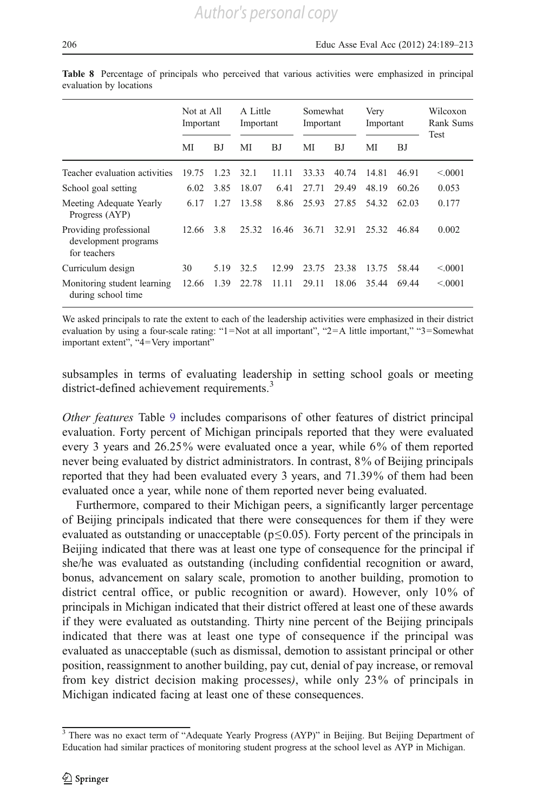|                                                                | Not at All<br>Important |      | A Little<br>Important |       | Somewhat<br>Important |       | Very<br>Important |       | Wilcoxon<br>Rank Sums<br>Test |  |
|----------------------------------------------------------------|-------------------------|------|-----------------------|-------|-----------------------|-------|-------------------|-------|-------------------------------|--|
|                                                                | МI                      | BJ   | МI                    | BJ    | МI                    | ΒJ    | МI                | BJ    |                               |  |
| Teacher evaluation activities                                  | 19.75                   | 1.23 | 32.1                  | 11.11 | 33.33                 | 40.74 | 14.81             | 46.91 | < 0.001                       |  |
| School goal setting                                            | 6.02                    | 3.85 | 18.07                 | 6.41  | 27.71                 | 29.49 | 48.19             | 60.26 | 0.053                         |  |
| Meeting Adequate Yearly<br>Progress (AYP)                      | 6.17                    | 1.27 | 13.58                 | 8.86  | 25.93                 | 27.85 | 54.32             | 62.03 | 0.177                         |  |
| Providing professional<br>development programs<br>for teachers | 12.66                   | 3.8  | 25.32                 | 16.46 | 36.71                 | 32.91 | 25.32             | 46.84 | 0.002                         |  |
| Curriculum design                                              | 30                      | 5.19 | 32.5                  | 12.99 | 23.75                 | 23.38 | 13.75             | 58.44 | < 0.001                       |  |
| Monitoring student learning<br>during school time              | 12.66                   | 1.39 | 22.78                 | 11.11 | 29.11                 | 18.06 | 35.44             | 69.44 | < 0.001                       |  |

<span id="page-19-0"></span>Table 8 Percentage of principals who perceived that various activities were emphasized in principal evaluation by locations

We asked principals to rate the extent to each of the leadership activities were emphasized in their district evaluation by using a four-scale rating: "1=Not at all important", "2=A little important," "3=Somewhat important extent", "4=Very important"

subsamples in terms of evaluating leadership in setting school goals or meeting district-defined achievement requirements.<sup>3</sup>

Other features Table [9](#page-20-0) includes comparisons of other features of district principal evaluation. Forty percent of Michigan principals reported that they were evaluated every 3 years and 26.25% were evaluated once a year, while 6% of them reported never being evaluated by district administrators. In contrast, 8% of Beijing principals reported that they had been evaluated every 3 years, and 71.39% of them had been evaluated once a year, while none of them reported never being evaluated.

Furthermore, compared to their Michigan peers, a significantly larger percentage of Beijing principals indicated that there were consequences for them if they were evaluated as outstanding or unacceptable ( $p \le 0.05$ ). Forty percent of the principals in Beijing indicated that there was at least one type of consequence for the principal if she/he was evaluated as outstanding (including confidential recognition or award, bonus, advancement on salary scale, promotion to another building, promotion to district central office, or public recognition or award). However, only 10% of principals in Michigan indicated that their district offered at least one of these awards if they were evaluated as outstanding. Thirty nine percent of the Beijing principals indicated that there was at least one type of consequence if the principal was evaluated as unacceptable (such as dismissal, demotion to assistant principal or other position, reassignment to another building, pay cut, denial of pay increase, or removal from key district decision making processes), while only 23% of principals in Michigan indicated facing at least one of these consequences.

<sup>&</sup>lt;sup>3</sup> There was no exact term of "Adequate Yearly Progress (AYP)" in Beijing. But Beijing Department of Education had similar practices of monitoring student progress at the school level as AYP in Michigan.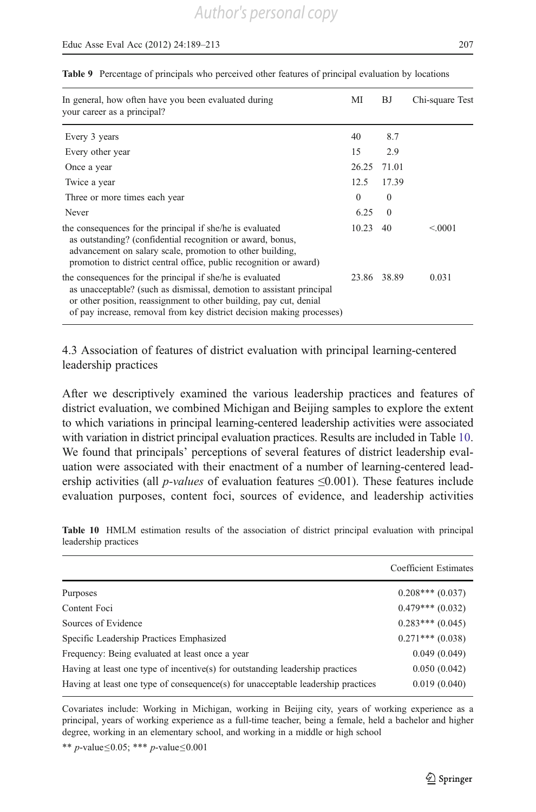#### <span id="page-20-0"></span>Educ Asse Eval Acc (2012) 24:189–213 207

| In general, how often have you been evaluated during<br>your career as a principal?                                                                                                                                                                                              | МI       | BJ           | Chi-square Test |
|----------------------------------------------------------------------------------------------------------------------------------------------------------------------------------------------------------------------------------------------------------------------------------|----------|--------------|-----------------|
| Every 3 years                                                                                                                                                                                                                                                                    | 40       | 8.7          |                 |
| Every other year                                                                                                                                                                                                                                                                 | 15       | 2.9          |                 |
| Once a year                                                                                                                                                                                                                                                                      | 26.25    | 71.01        |                 |
| Twice a year                                                                                                                                                                                                                                                                     | 12.5     | 17.39        |                 |
| Three or more times each year                                                                                                                                                                                                                                                    | $\Omega$ | $\mathbf{0}$ |                 |
| Never                                                                                                                                                                                                                                                                            | 6.25     | $\Omega$     |                 |
| the consequences for the principal if she/he is evaluated<br>as outstanding? (confidential recognition or award, bonus,<br>advancement on salary scale, promotion to other building,<br>promotion to district central office, public recognition or award)                       | 10.23    | - 40         | < 0.001         |
| the consequences for the principal if she/he is evaluated<br>as unacceptable? (such as dismissal, demotion to assistant principal<br>or other position, reassignment to other building, pay cut, denial<br>of pay increase, removal from key district decision making processes) |          | 23.86 38.89  | 0.031           |

Table 9 Percentage of principals who perceived other features of principal evaluation by locations

4.3 Association of features of district evaluation with principal learning-centered leadership practices

After we descriptively examined the various leadership practices and features of district evaluation, we combined Michigan and Beijing samples to explore the extent to which variations in principal learning-centered leadership activities were associated with variation in district principal evaluation practices. Results are included in Table 10. We found that principals' perceptions of several features of district leadership evaluation were associated with their enactment of a number of learning-centered leadership activities (all *p-values* of evaluation features  $\leq 0.001$ ). These features include evaluation purposes, content foci, sources of evidence, and leadership activities

|                                                                                  | Coefficient Estimates |
|----------------------------------------------------------------------------------|-----------------------|
| Purposes                                                                         | $0.208***(0.037)$     |
| Content Foci                                                                     | $0.479***(0.032)$     |
| Sources of Evidence                                                              | $0.283***(0.045)$     |
| Specific Leadership Practices Emphasized                                         | $0.271***(0.038)$     |
| Frequency: Being evaluated at least once a year                                  | 0.049(0.049)          |
| Having at least one type of incentive(s) for outstanding leadership practices    | 0.050(0.042)          |
| Having at least one type of consequence(s) for unacceptable leadership practices | 0.019(0.040)          |

Table 10 HMLM estimation results of the association of district principal evaluation with principal leadership practices

Covariates include: Working in Michigan, working in Beijing city, years of working experience as a principal, years of working experience as a full-time teacher, being a female, held a bachelor and higher degree, working in an elementary school, and working in a middle or high school

\*\* p-value≤0.05; \*\*\* p-value≤0.001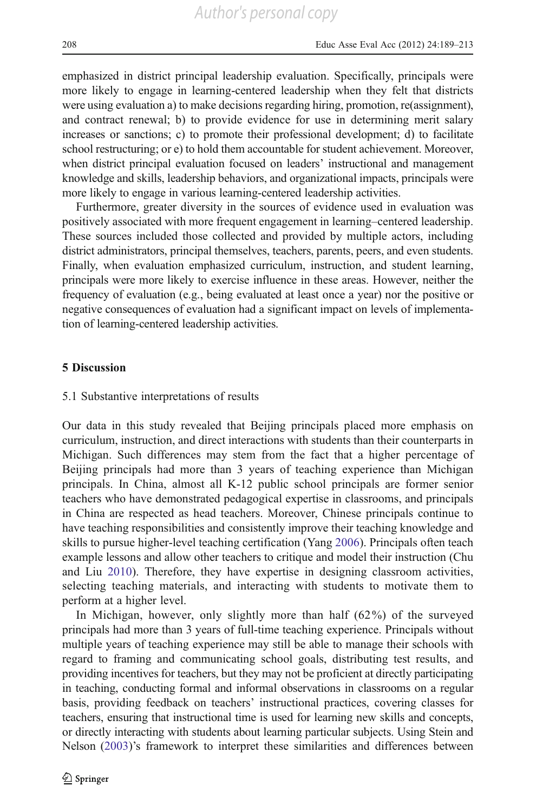emphasized in district principal leadership evaluation. Specifically, principals were more likely to engage in learning-centered leadership when they felt that districts were using evaluation a) to make decisions regarding hiring, promotion, re(assignment), and contract renewal; b) to provide evidence for use in determining merit salary increases or sanctions; c) to promote their professional development; d) to facilitate school restructuring; or e) to hold them accountable for student achievement. Moreover, when district principal evaluation focused on leaders' instructional and management knowledge and skills, leadership behaviors, and organizational impacts, principals were more likely to engage in various learning-centered leadership activities.

Furthermore, greater diversity in the sources of evidence used in evaluation was positively associated with more frequent engagement in learning–centered leadership. These sources included those collected and provided by multiple actors, including district administrators, principal themselves, teachers, parents, peers, and even students. Finally, when evaluation emphasized curriculum, instruction, and student learning, principals were more likely to exercise influence in these areas. However, neither the frequency of evaluation (e.g., being evaluated at least once a year) nor the positive or negative consequences of evaluation had a significant impact on levels of implementation of learning-centered leadership activities.

#### 5 Discussion

#### 5.1 Substantive interpretations of results

Our data in this study revealed that Beijing principals placed more emphasis on curriculum, instruction, and direct interactions with students than their counterparts in Michigan. Such differences may stem from the fact that a higher percentage of Beijing principals had more than 3 years of teaching experience than Michigan principals. In China, almost all K-12 public school principals are former senior teachers who have demonstrated pedagogical expertise in classrooms, and principals in China are respected as head teachers. Moreover, Chinese principals continue to have teaching responsibilities and consistently improve their teaching knowledge and skills to pursue higher-level teaching certification (Yang [2006\)](#page-26-0). Principals often teach example lessons and allow other teachers to critique and model their instruction (Chu and Liu [2010](#page-24-0)). Therefore, they have expertise in designing classroom activities, selecting teaching materials, and interacting with students to motivate them to perform at a higher level.

In Michigan, however, only slightly more than half (62%) of the surveyed principals had more than 3 years of full-time teaching experience. Principals without multiple years of teaching experience may still be able to manage their schools with regard to framing and communicating school goals, distributing test results, and providing incentives for teachers, but they may not be proficient at directly participating in teaching, conducting formal and informal observations in classrooms on a regular basis, providing feedback on teachers' instructional practices, covering classes for teachers, ensuring that instructional time is used for learning new skills and concepts, or directly interacting with students about learning particular subjects. Using Stein and Nelson ([2003\)](#page-26-0)'s framework to interpret these similarities and differences between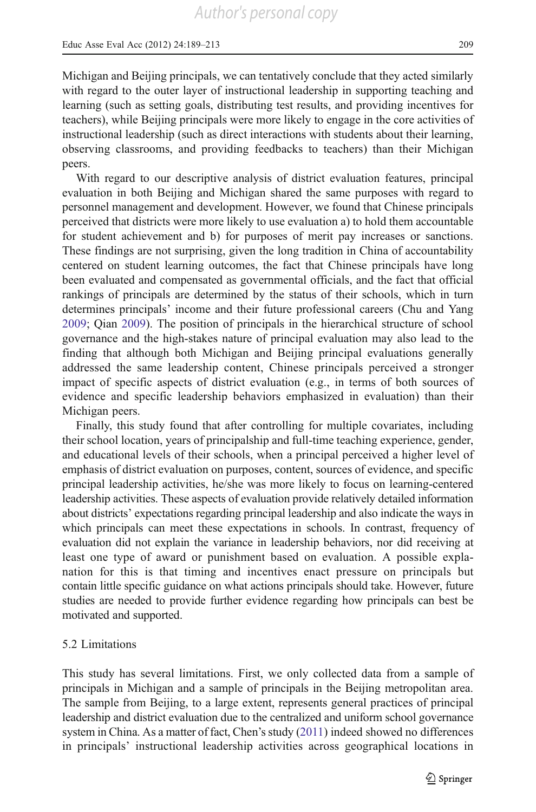Michigan and Beijing principals, we can tentatively conclude that they acted similarly with regard to the outer layer of instructional leadership in supporting teaching and learning (such as setting goals, distributing test results, and providing incentives for teachers), while Beijing principals were more likely to engage in the core activities of instructional leadership (such as direct interactions with students about their learning, observing classrooms, and providing feedbacks to teachers) than their Michigan peers.

With regard to our descriptive analysis of district evaluation features, principal evaluation in both Beijing and Michigan shared the same purposes with regard to personnel management and development. However, we found that Chinese principals perceived that districts were more likely to use evaluation a) to hold them accountable for student achievement and b) for purposes of merit pay increases or sanctions. These findings are not surprising, given the long tradition in China of accountability centered on student learning outcomes, the fact that Chinese principals have long been evaluated and compensated as governmental officials, and the fact that official rankings of principals are determined by the status of their schools, which in turn determines principals' income and their future professional careers (Chu and Yang [2009;](#page-24-0) Qian [2009\)](#page-26-0). The position of principals in the hierarchical structure of school governance and the high-stakes nature of principal evaluation may also lead to the finding that although both Michigan and Beijing principal evaluations generally addressed the same leadership content, Chinese principals perceived a stronger impact of specific aspects of district evaluation (e.g., in terms of both sources of evidence and specific leadership behaviors emphasized in evaluation) than their Michigan peers.

Finally, this study found that after controlling for multiple covariates, including their school location, years of principalship and full-time teaching experience, gender, and educational levels of their schools, when a principal perceived a higher level of emphasis of district evaluation on purposes, content, sources of evidence, and specific principal leadership activities, he/she was more likely to focus on learning-centered leadership activities. These aspects of evaluation provide relatively detailed information about districts' expectations regarding principal leadership and also indicate the ways in which principals can meet these expectations in schools. In contrast, frequency of evaluation did not explain the variance in leadership behaviors, nor did receiving at least one type of award or punishment based on evaluation. A possible explanation for this is that timing and incentives enact pressure on principals but contain little specific guidance on what actions principals should take. However, future studies are needed to provide further evidence regarding how principals can best be motivated and supported.

# 5.2 Limitations

This study has several limitations. First, we only collected data from a sample of principals in Michigan and a sample of principals in the Beijing metropolitan area. The sample from Beijing, to a large extent, represents general practices of principal leadership and district evaluation due to the centralized and uniform school governance system in China. As a matter of fact, Chen's study [\(2011\)](#page-24-0) indeed showed no differences in principals' instructional leadership activities across geographical locations in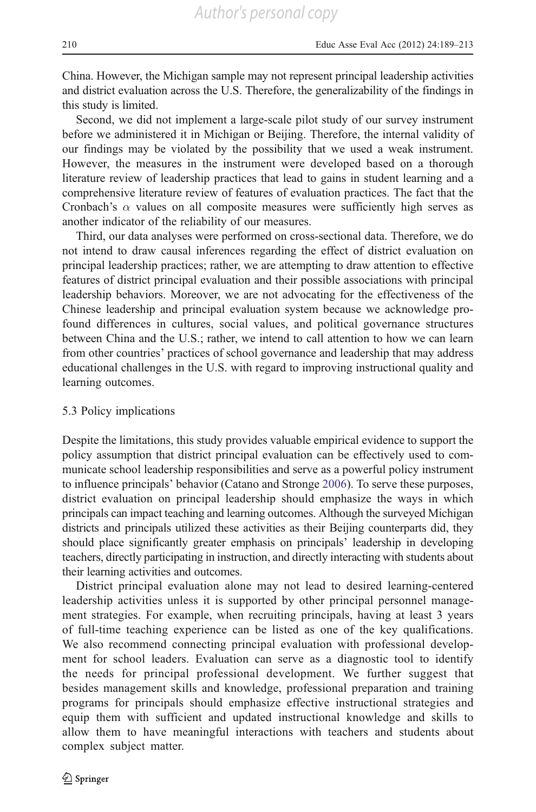China. However, the Michigan sample may not represent principal leadership activities and district evaluation across the U.S. Therefore, the generalizability of the findings in this study is limited.

Second, we did not implement a large-scale pilot study of our survey instrument before we administered it in Michigan or Beijing. Therefore, the internal validity of our findings may be violated by the possibility that we used a weak instrument. However, the measures in the instrument were developed based on a thorough literature review of leadership practices that lead to gains in student learning and a comprehensive literature review of features of evaluation practices. The fact that the Cronbach's  $\alpha$  values on all composite measures were sufficiently high serves as another indicator of the reliability of our measures.

Third, our data analyses were performed on cross-sectional data. Therefore, we do not intend to draw causal inferences regarding the effect of district evaluation on principal leadership practices; rather, we are attempting to draw attention to effective features of district principal evaluation and their possible associations with principal leadership behaviors. Moreover, we are not advocating for the effectiveness of the Chinese leadership and principal evaluation system because we acknowledge profound differences in cultures, social values, and political governance structures between China and the U.S.; rather, we intend to call attention to how we can learn from other countries' practices of school governance and leadership that may address educational challenges in the U.S. with regard to improving instructional quality and learning outcomes.

#### 5.3 Policy implications

Despite the limitations, this study provides valuable empirical evidence to support the policy assumption that district principal evaluation can be effectively used to communicate school leadership responsibilities and serve as a powerful policy instrument to influence principals' behavior (Catano and Stronge [2006](#page-24-0)). To serve these purposes, district evaluation on principal leadership should emphasize the ways in which principals can impact teaching and learning outcomes. Although the surveyed Michigan districts and principals utilized these activities as their Beijing counterparts did, they should place significantly greater emphasis on principals' leadership in developing teachers, directly participating in instruction, and directly interacting with students about their learning activities and outcomes.

District principal evaluation alone may not lead to desired learning-centered leadership activities unless it is supported by other principal personnel management strategies. For example, when recruiting principals, having at least 3 years of full-time teaching experience can be listed as one of the key qualifications. We also recommend connecting principal evaluation with professional development for school leaders. Evaluation can serve as a diagnostic tool to identify the needs for principal professional development. We further suggest that besides management skills and knowledge, professional preparation and training programs for principals should emphasize effective instructional strategies and equip them with sufficient and updated instructional knowledge and skills to allow them to have meaningful interactions with teachers and students about complex subject matter.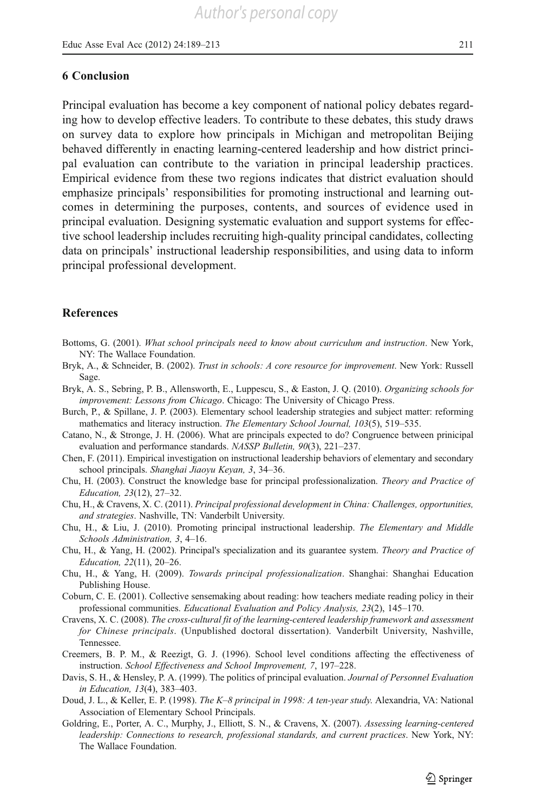# <span id="page-24-0"></span>6 Conclusion

Principal evaluation has become a key component of national policy debates regarding how to develop effective leaders. To contribute to these debates, this study draws on survey data to explore how principals in Michigan and metropolitan Beijing behaved differently in enacting learning-centered leadership and how district principal evaluation can contribute to the variation in principal leadership practices. Empirical evidence from these two regions indicates that district evaluation should emphasize principals' responsibilities for promoting instructional and learning outcomes in determining the purposes, contents, and sources of evidence used in principal evaluation. Designing systematic evaluation and support systems for effective school leadership includes recruiting high-quality principal candidates, collecting data on principals' instructional leadership responsibilities, and using data to inform principal professional development.

# References

- Bottoms, G. (2001). What school principals need to know about curriculum and instruction. New York, NY: The Wallace Foundation.
- Bryk, A., & Schneider, B. (2002). Trust in schools: A core resource for improvement. New York: Russell Sage.
- Bryk, A. S., Sebring, P. B., Allensworth, E., Luppescu, S., & Easton, J. Q. (2010). Organizing schools for improvement: Lessons from Chicago. Chicago: The University of Chicago Press.
- Burch, P., & Spillane, J. P. (2003). Elementary school leadership strategies and subject matter: reforming mathematics and literacy instruction. The Elementary School Journal, 103(5), 519–535.
- Catano, N., & Stronge, J. H. (2006). What are principals expected to do? Congruence between prinicipal evaluation and performance standards. NASSP Bulletin, 90(3), 221–237.
- Chen, F. (2011). Empirical investigation on instructional leadership behaviors of elementary and secondary school principals. Shanghai Jiaoyu Keyan, 3, 34–36.
- Chu, H. (2003). Construct the knowledge base for principal professionalization. Theory and Practice of Education, 23(12), 27–32.
- Chu, H., & Cravens, X. C. (2011). Principal professional development in China: Challenges, opportunities, and strategies. Nashville, TN: Vanderbilt University.
- Chu, H., & Liu, J. (2010). Promoting principal instructional leadership. The Elementary and Middle Schools Administration, 3, 4–16.
- Chu, H., & Yang, H. (2002). Principal's specialization and its guarantee system. Theory and Practice of Education, 22(11), 20–26.
- Chu, H., & Yang, H. (2009). Towards principal professionalization. Shanghai: Shanghai Education Publishing House.
- Coburn, C. E. (2001). Collective sensemaking about reading: how teachers mediate reading policy in their professional communities. Educational Evaluation and Policy Analysis, 23(2), 145–170.
- Cravens, X. C. (2008). The cross-cultural fit of the learning-centered leadership framework and assessment for Chinese principals. (Unpublished doctoral dissertation). Vanderbilt University, Nashville, Tennessee.
- Creemers, B. P. M., & Reezigt, G. J. (1996). School level conditions affecting the effectiveness of instruction. School Effectiveness and School Improvement, 7, 197–228.
- Davis, S. H., & Hensley, P. A. (1999). The politics of principal evaluation. Journal of Personnel Evaluation in Education, 13(4), 383–403.
- Doud, J. L., & Keller, E. P. (1998). The K–8 principal in 1998: A ten-year study. Alexandria, VA: National Association of Elementary School Principals.
- Goldring, E., Porter, A. C., Murphy, J., Elliott, S. N., & Cravens, X. (2007). Assessing learning-centered leadership: Connections to research, professional standards, and current practices. New York, NY: The Wallace Foundation.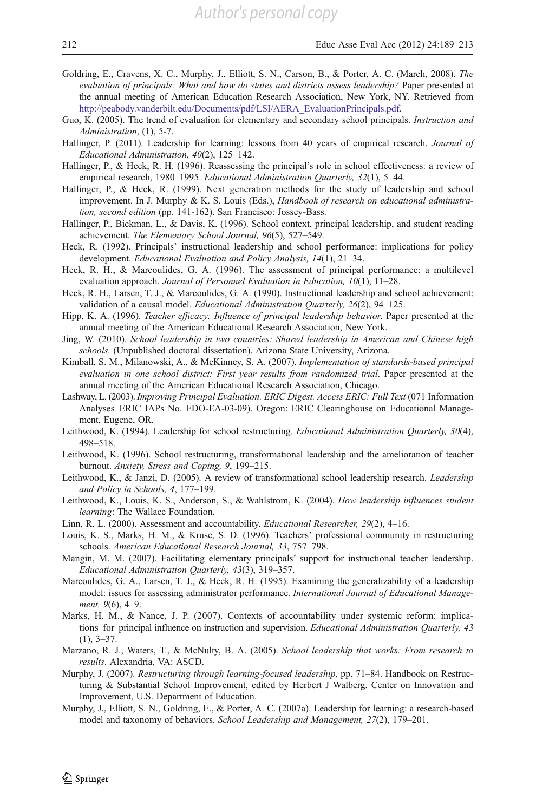- <span id="page-25-0"></span>Goldring, E., Cravens, X. C., Murphy, J., Elliott, S. N., Carson, B., & Porter, A. C. (March, 2008). The evaluation of principals: What and how do states and districts assess leadership? Paper presented at the annual meeting of American Education Research Association, New York, NY. Retrieved from [http://peabody.vanderbilt.edu/Documents/pdf/LSI/AERA\\_EvaluationPrincipals.pdf.](http://peabody.vanderbilt.edu/Documents/pdf/LSI/AERA_EvaluationPrincipals.pdf)
- Guo, K. (2005). The trend of evaluation for elementary and secondary school principals. *Instruction and* Administration, (1), 5-7.
- Hallinger, P. (2011). Leadership for learning: lessons from 40 years of empirical research. Journal of Educational Administration, 40(2), 125–142.
- Hallinger, P., & Heck, R. H. (1996). Reassessing the principal's role in school effectiveness: a review of empirical research, 1980–1995. Educational Administration Quarterly, 32(1), 5–44.
- Hallinger, P., & Heck, R. (1999). Next generation methods for the study of leadership and school improvement. In J. Murphy & K. S. Louis (Eds.), Handbook of research on educational administration, second edition (pp. 141-162). San Francisco: Jossey-Bass.
- Hallinger, P., Bickman, L., & Davis, K. (1996). School context, principal leadership, and student reading achievement. The Elementary School Journal, 96(5), 527–549.
- Heck, R. (1992). Principals' instructional leadership and school performance: implications for policy development. Educational Evaluation and Policy Analysis, 14(1), 21–34.
- Heck, R. H., & Marcoulides, G. A. (1996). The assessment of principal performance: a multilevel evaluation approach. Journal of Personnel Evaluation in Education, 10(1), 11–28.
- Heck, R. H., Larsen, T. J., & Marcoulides, G. A. (1990). Instructional leadership and school achievement: validation of a causal model. Educational Administration Quarterly, 26(2), 94–125.
- Hipp, K. A. (1996). Teacher efficacy: Influence of principal leadership behavior. Paper presented at the annual meeting of the American Educational Research Association, New York.
- Jing, W. (2010). School leadership in two countries: Shared leadership in American and Chinese high schools. (Unpublished doctoral dissertation). Arizona State University, Arizona.
- Kimball, S. M., Milanowski, A., & McKinney, S. A. (2007). Implementation of standards-based principal evaluation in one school district: First year results from randomized trial. Paper presented at the annual meeting of the American Educational Research Association, Chicago.
- Lashway, L. (2003). Improving Principal Evaluation. ERIC Digest. Access ERIC: Full Text (071 Information Analyses–ERIC IAPs No. EDO-EA-03-09). Oregon: ERIC Clearinghouse on Educational Management, Eugene, OR.
- Leithwood, K. (1994). Leadership for school restructuring. *Educational Administration Quarterly*, 30(4), 498–518.
- Leithwood, K. (1996). School restructuring, transformational leadership and the amelioration of teacher burnout. Anxiety, Stress and Coping, 9, 199–215.
- Leithwood, K., & Janzi, D. (2005). A review of transformational school leadership research. Leadership and Policy in Schools, 4, 177–199.
- Leithwood, K., Louis, K. S., Anderson, S., & Wahlstrom, K. (2004). How leadership influences student learning: The Wallace Foundation.
- Linn, R. L. (2000). Assessment and accountability. *Educational Researcher*, 29(2), 4–16.
- Louis, K. S., Marks, H. M., & Kruse, S. D. (1996). Teachers' professional community in restructuring schools. American Educational Research Journal, 33, 757–798.
- Mangin, M. M. (2007). Facilitating elementary principals' support for instructional teacher leadership. Educational Administration Quarterly, 43(3), 319–357.
- Marcoulides, G. A., Larsen, T. J., & Heck, R. H. (1995). Examining the generalizability of a leadership model: issues for assessing administrator performance. *International Journal of Educational Manage*ment, 9(6), 4–9.
- Marks, H. M., & Nance, J. P. (2007). Contexts of accountability under systemic reform: implications for principal influence on instruction and supervision. Educational Administration Quarterly, 43  $(1), 3-37.$
- Marzano, R. J., Waters, T., & McNulty, B. A. (2005). School leadership that works: From research to results. Alexandria, VA: ASCD.
- Murphy, J. (2007). Restructuring through learning-focused leadership, pp. 71–84. Handbook on Restructuring & Substantial School Improvement, edited by Herbert J Walberg. Center on Innovation and Improvement, U.S. Department of Education.
- Murphy, J., Elliott, S. N., Goldring, E., & Porter, A. C. (2007a). Leadership for learning: a research-based model and taxonomy of behaviors. School Leadership and Management, 27(2), 179–201.